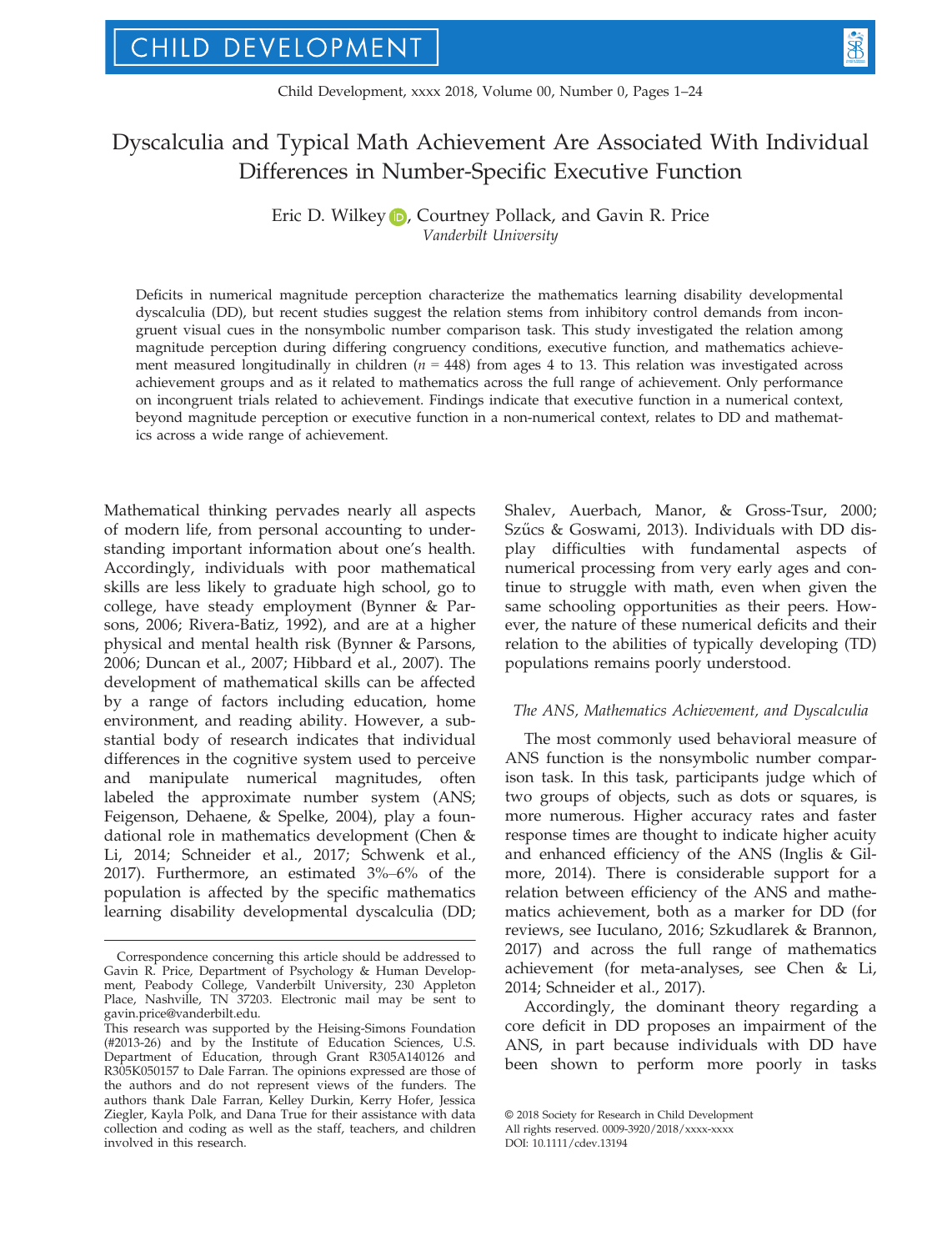# Dyscalculia and Typical Math Achievement Are Associated With Individual Differences in Number-Specific Executive Function

# Eric D. Wilkey **D**, Courtney Pollack, and Gavin R. Price Vanderbilt University

Deficits in numerical magnitude perception characterize the mathematics learning disability developmental dyscalculia (DD), but recent studies suggest the relation stems from inhibitory control demands from incongruent visual cues in the nonsymbolic number comparison task. This study investigated the relation among magnitude perception during differing congruency conditions, executive function, and mathematics achievement measured longitudinally in children ( $n = 448$ ) from ages 4 to 13. This relation was investigated across achievement groups and as it related to mathematics across the full range of achievement. Only performance on incongruent trials related to achievement. Findings indicate that executive function in a numerical context, beyond magnitude perception or executive function in a non-numerical context, relates to DD and mathematics across a wide range of achievement.

Mathematical thinking pervades nearly all aspects of modern life, from personal accounting to understanding important information about one's health. Accordingly, individuals with poor mathematical skills are less likely to graduate high school, go to college, have steady employment (Bynner & Parsons, 2006; Rivera-Batiz, 1992), and are at a higher physical and mental health risk (Bynner & Parsons, 2006; Duncan et al., 2007; Hibbard et al., 2007). The development of mathematical skills can be affected by a range of factors including education, home environment, and reading ability. However, a substantial body of research indicates that individual differences in the cognitive system used to perceive and manipulate numerical magnitudes, often labeled the approximate number system (ANS; Feigenson, Dehaene, & Spelke, 2004), play a foundational role in mathematics development (Chen & Li, 2014; Schneider et al., 2017; Schwenk et al., 2017). Furthermore, an estimated 3%–6% of the population is affected by the specific mathematics learning disability developmental dyscalculia (DD;

Shalev, Auerbach, Manor, & Gross-Tsur, 2000; Szűcs & Goswami, 2013). Individuals with DD display difficulties with fundamental aspects of numerical processing from very early ages and continue to struggle with math, even when given the same schooling opportunities as their peers. However, the nature of these numerical deficits and their relation to the abilities of typically developing (TD) populations remains poorly understood.

#### The ANS, Mathematics Achievement, and Dyscalculia

The most commonly used behavioral measure of ANS function is the nonsymbolic number comparison task. In this task, participants judge which of two groups of objects, such as dots or squares, is more numerous. Higher accuracy rates and faster response times are thought to indicate higher acuity and enhanced efficiency of the ANS (Inglis & Gilmore, 2014). There is considerable support for a relation between efficiency of the ANS and mathematics achievement, both as a marker for DD (for reviews, see Iuculano, 2016; Szkudlarek & Brannon, 2017) and across the full range of mathematics achievement (for meta-analyses, see Chen & Li, 2014; Schneider et al., 2017).

Accordingly, the dominant theory regarding a core deficit in DD proposes an impairment of the ANS, in part because individuals with DD have been shown to perform more poorly in tasks

Correspondence concerning this article should be addressed to Gavin R. Price, Department of Psychology & Human Development, Peabody College, Vanderbilt University, 230 Appleton Place, Nashville, TN 37203. Electronic mail may be sent to [gavin.price@vanderbilt.edu](mailto:).

This research was supported by the Heising-Simons Foundation (#2013-26) and by the Institute of Education Sciences, U.S. Department of Education, through Grant R305A140126 and R305K050157 to Dale Farran. The opinions expressed are those of the authors and do not represent views of the funders. The authors thank Dale Farran, Kelley Durkin, Kerry Hofer, Jessica Ziegler, Kayla Polk, and Dana True for their assistance with data collection and coding as well as the staff, teachers, and children involved in this research.

<sup>©</sup> 2018 Society for Research in Child Development All rights reserved. 0009-3920/2018/xxxx-xxxx DOI: 10.1111/cdev.13194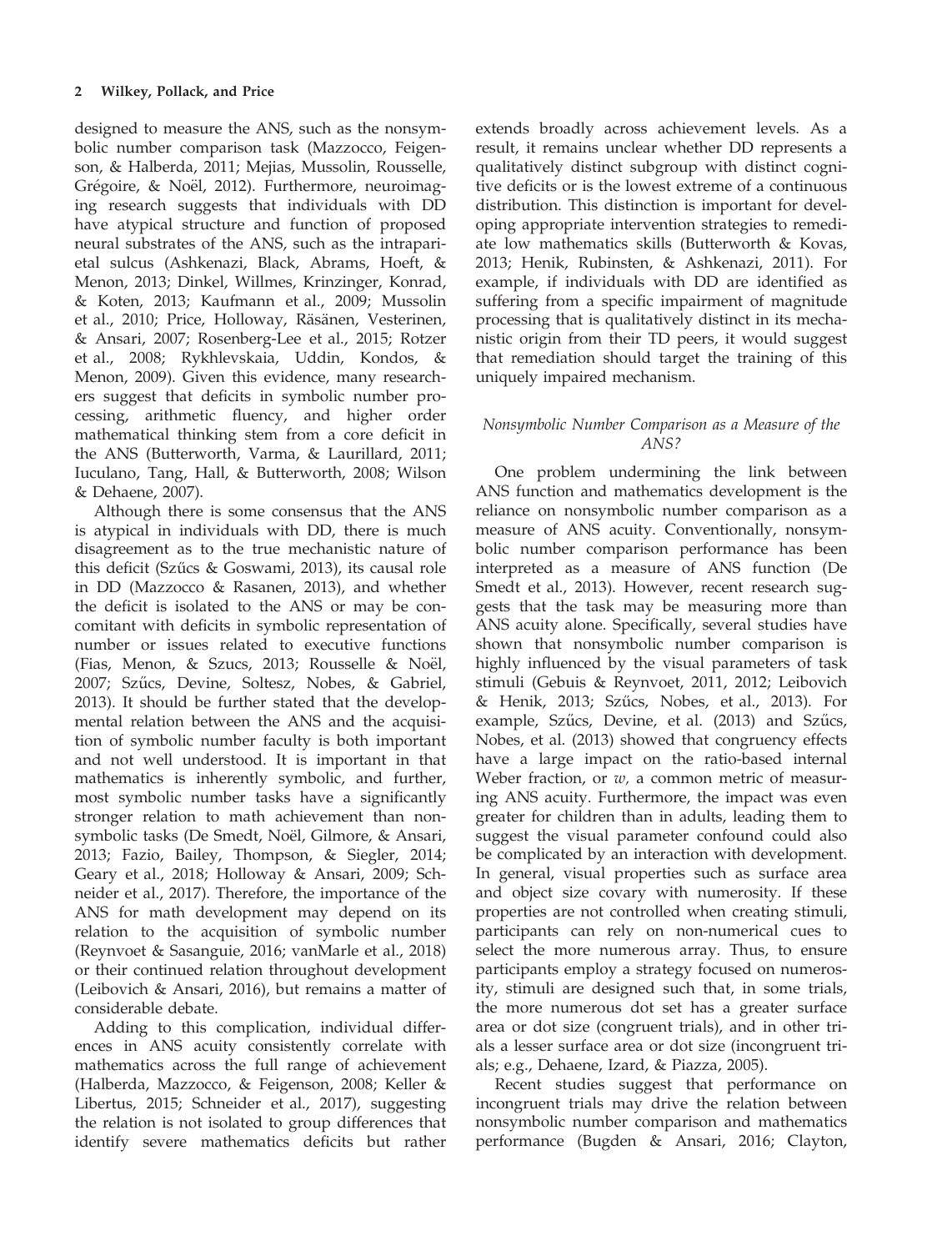designed to measure the ANS, such as the nonsymbolic number comparison task (Mazzocco, Feigenson, & Halberda, 2011; Mejias, Mussolin, Rousselle, Grégoire, & Noël, 2012). Furthermore, neuroimaging research suggests that individuals with DD have atypical structure and function of proposed neural substrates of the ANS, such as the intraparietal sulcus (Ashkenazi, Black, Abrams, Hoeft, & Menon, 2013; Dinkel, Willmes, Krinzinger, Konrad, & Koten, 2013; Kaufmann et al., 2009; Mussolin et al., 2010; Price, Holloway, Räsänen, Vesterinen, & Ansari, 2007; Rosenberg-Lee et al., 2015; Rotzer et al., 2008; Rykhlevskaia, Uddin, Kondos, & Menon, 2009). Given this evidence, many researchers suggest that deficits in symbolic number processing, arithmetic fluency, and higher order mathematical thinking stem from a core deficit in the ANS (Butterworth, Varma, & Laurillard, 2011; Iuculano, Tang, Hall, & Butterworth, 2008; Wilson & Dehaene, 2007).

Although there is some consensus that the ANS is atypical in individuals with DD, there is much disagreement as to the true mechanistic nature of this deficit (Szűcs & Goswami, 2013), its causal role in DD (Mazzocco & Rasanen, 2013), and whether the deficit is isolated to the ANS or may be concomitant with deficits in symbolic representation of number or issues related to executive functions (Fias, Menon, & Szucs, 2013; Rousselle & Noël, 2007; Szűcs, Devine, Soltesz, Nobes, & Gabriel, 2013). It should be further stated that the developmental relation between the ANS and the acquisition of symbolic number faculty is both important and not well understood. It is important in that mathematics is inherently symbolic, and further, most symbolic number tasks have a significantly stronger relation to math achievement than nonsymbolic tasks (De Smedt, Noël, Gilmore, & Ansari, 2013; Fazio, Bailey, Thompson, & Siegler, 2014; Geary et al., 2018; Holloway & Ansari, 2009; Schneider et al., 2017). Therefore, the importance of the ANS for math development may depend on its relation to the acquisition of symbolic number (Reynvoet & Sasanguie, 2016; vanMarle et al., 2018) or their continued relation throughout development (Leibovich & Ansari, 2016), but remains a matter of considerable debate.

Adding to this complication, individual differences in ANS acuity consistently correlate with mathematics across the full range of achievement (Halberda, Mazzocco, & Feigenson, 2008; Keller & Libertus, 2015; Schneider et al., 2017), suggesting the relation is not isolated to group differences that identify severe mathematics deficits but rather

extends broadly across achievement levels. As a result, it remains unclear whether DD represents a qualitatively distinct subgroup with distinct cognitive deficits or is the lowest extreme of a continuous distribution. This distinction is important for developing appropriate intervention strategies to remediate low mathematics skills (Butterworth & Kovas, 2013; Henik, Rubinsten, & Ashkenazi, 2011). For example, if individuals with DD are identified as suffering from a specific impairment of magnitude processing that is qualitatively distinct in its mechanistic origin from their TD peers, it would suggest that remediation should target the training of this uniquely impaired mechanism.

# Nonsymbolic Number Comparison as a Measure of the ANS?

One problem undermining the link between ANS function and mathematics development is the reliance on nonsymbolic number comparison as a measure of ANS acuity. Conventionally, nonsymbolic number comparison performance has been interpreted as a measure of ANS function (De Smedt et al., 2013). However, recent research suggests that the task may be measuring more than ANS acuity alone. Specifically, several studies have shown that nonsymbolic number comparison is highly influenced by the visual parameters of task stimuli (Gebuis & Reynvoet, 2011, 2012; Leibovich & Henik, 2013; Szűcs, Nobes, et al., 2013). For example, Szűcs, Devine, et al. (2013) and Szűcs, Nobes, et al. (2013) showed that congruency effects have a large impact on the ratio-based internal Weber fraction, or  $w$ , a common metric of measuring ANS acuity. Furthermore, the impact was even greater for children than in adults, leading them to suggest the visual parameter confound could also be complicated by an interaction with development. In general, visual properties such as surface area and object size covary with numerosity. If these properties are not controlled when creating stimuli, participants can rely on non-numerical cues to select the more numerous array. Thus, to ensure participants employ a strategy focused on numerosity, stimuli are designed such that, in some trials, the more numerous dot set has a greater surface area or dot size (congruent trials), and in other trials a lesser surface area or dot size (incongruent trials; e.g., Dehaene, Izard, & Piazza, 2005).

Recent studies suggest that performance on incongruent trials may drive the relation between nonsymbolic number comparison and mathematics performance (Bugden & Ansari, 2016; Clayton,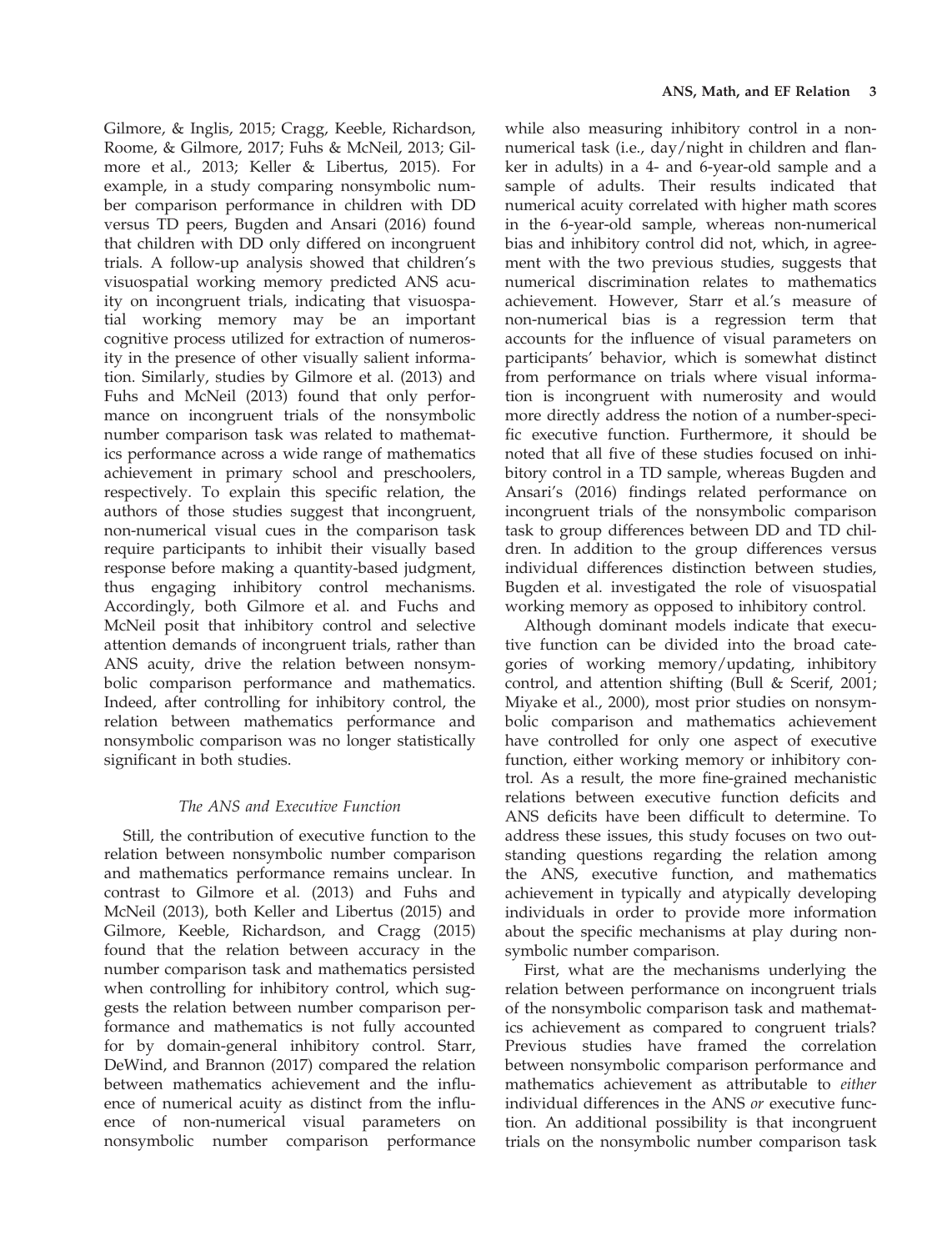Gilmore, & Inglis, 2015; Cragg, Keeble, Richardson, Roome, & Gilmore, 2017; Fuhs & McNeil, 2013; Gilmore et al., 2013; Keller & Libertus, 2015). For example, in a study comparing nonsymbolic number comparison performance in children with DD versus TD peers, Bugden and Ansari (2016) found that children with DD only differed on incongruent trials. A follow-up analysis showed that children's visuospatial working memory predicted ANS acuity on incongruent trials, indicating that visuospatial working memory may be an important cognitive process utilized for extraction of numerosity in the presence of other visually salient information. Similarly, studies by Gilmore et al. (2013) and Fuhs and McNeil (2013) found that only performance on incongruent trials of the nonsymbolic number comparison task was related to mathematics performance across a wide range of mathematics achievement in primary school and preschoolers, respectively. To explain this specific relation, the authors of those studies suggest that incongruent, non-numerical visual cues in the comparison task require participants to inhibit their visually based response before making a quantity-based judgment, thus engaging inhibitory control mechanisms. Accordingly, both Gilmore et al. and Fuchs and McNeil posit that inhibitory control and selective attention demands of incongruent trials, rather than ANS acuity, drive the relation between nonsymbolic comparison performance and mathematics. Indeed, after controlling for inhibitory control, the relation between mathematics performance and nonsymbolic comparison was no longer statistically significant in both studies.

# The ANS and Executive Function

Still, the contribution of executive function to the relation between nonsymbolic number comparison and mathematics performance remains unclear. In contrast to Gilmore et al. (2013) and Fuhs and McNeil (2013), both Keller and Libertus (2015) and Gilmore, Keeble, Richardson, and Cragg (2015) found that the relation between accuracy in the number comparison task and mathematics persisted when controlling for inhibitory control, which suggests the relation between number comparison performance and mathematics is not fully accounted for by domain-general inhibitory control. Starr, DeWind, and Brannon (2017) compared the relation between mathematics achievement and the influence of numerical acuity as distinct from the influence of non-numerical visual parameters on nonsymbolic number comparison performance

while also measuring inhibitory control in a nonnumerical task (i.e., day/night in children and flanker in adults) in a 4- and 6-year-old sample and a sample of adults. Their results indicated that numerical acuity correlated with higher math scores in the 6-year-old sample, whereas non-numerical bias and inhibitory control did not, which, in agreement with the two previous studies, suggests that numerical discrimination relates to mathematics achievement. However, Starr et al.'s measure of non-numerical bias is a regression term that accounts for the influence of visual parameters on participants' behavior, which is somewhat distinct from performance on trials where visual information is incongruent with numerosity and would more directly address the notion of a number-specific executive function. Furthermore, it should be noted that all five of these studies focused on inhibitory control in a TD sample, whereas Bugden and Ansari's (2016) findings related performance on incongruent trials of the nonsymbolic comparison task to group differences between DD and TD children. In addition to the group differences versus individual differences distinction between studies, Bugden et al. investigated the role of visuospatial working memory as opposed to inhibitory control.

Although dominant models indicate that executive function can be divided into the broad categories of working memory/updating, inhibitory control, and attention shifting (Bull & Scerif, 2001; Miyake et al., 2000), most prior studies on nonsymbolic comparison and mathematics achievement have controlled for only one aspect of executive function, either working memory or inhibitory control. As a result, the more fine-grained mechanistic relations between executive function deficits and ANS deficits have been difficult to determine. To address these issues, this study focuses on two outstanding questions regarding the relation among the ANS, executive function, and mathematics achievement in typically and atypically developing individuals in order to provide more information about the specific mechanisms at play during nonsymbolic number comparison.

First, what are the mechanisms underlying the relation between performance on incongruent trials of the nonsymbolic comparison task and mathematics achievement as compared to congruent trials? Previous studies have framed the correlation between nonsymbolic comparison performance and mathematics achievement as attributable to either individual differences in the ANS or executive function. An additional possibility is that incongruent trials on the nonsymbolic number comparison task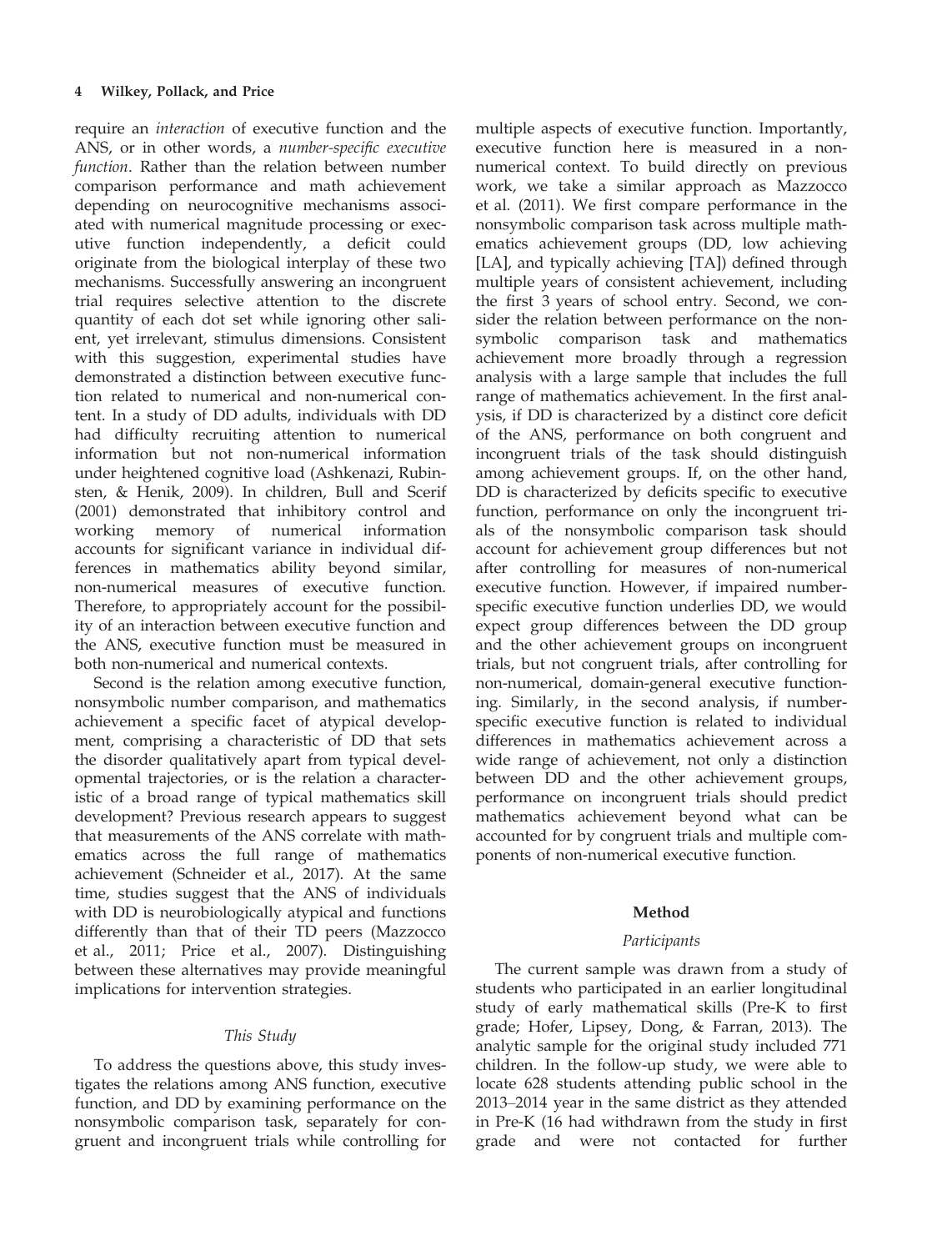require an interaction of executive function and the ANS, or in other words, a number-specific executive function. Rather than the relation between number comparison performance and math achievement depending on neurocognitive mechanisms associated with numerical magnitude processing or executive function independently, a deficit could originate from the biological interplay of these two mechanisms. Successfully answering an incongruent trial requires selective attention to the discrete quantity of each dot set while ignoring other salient, yet irrelevant, stimulus dimensions. Consistent with this suggestion, experimental studies have demonstrated a distinction between executive function related to numerical and non-numerical content. In a study of DD adults, individuals with DD had difficulty recruiting attention to numerical information but not non-numerical information under heightened cognitive load (Ashkenazi, Rubinsten, & Henik, 2009). In children, Bull and Scerif (2001) demonstrated that inhibitory control and working memory of numerical information accounts for significant variance in individual differences in mathematics ability beyond similar, non-numerical measures of executive function. Therefore, to appropriately account for the possibility of an interaction between executive function and the ANS, executive function must be measured in both non-numerical and numerical contexts.

Second is the relation among executive function, nonsymbolic number comparison, and mathematics achievement a specific facet of atypical development, comprising a characteristic of DD that sets the disorder qualitatively apart from typical developmental trajectories, or is the relation a characteristic of a broad range of typical mathematics skill development? Previous research appears to suggest that measurements of the ANS correlate with mathematics across the full range of mathematics achievement (Schneider et al., 2017). At the same time, studies suggest that the ANS of individuals with DD is neurobiologically atypical and functions differently than that of their TD peers (Mazzocco et al., 2011; Price et al., 2007). Distinguishing between these alternatives may provide meaningful implications for intervention strategies.

## This Study

To address the questions above, this study investigates the relations among ANS function, executive function, and DD by examining performance on the nonsymbolic comparison task, separately for congruent and incongruent trials while controlling for

multiple aspects of executive function. Importantly, executive function here is measured in a nonnumerical context. To build directly on previous work, we take a similar approach as Mazzocco et al. (2011). We first compare performance in the nonsymbolic comparison task across multiple mathematics achievement groups (DD, low achieving [LA], and typically achieving [TA]) defined through multiple years of consistent achievement, including the first 3 years of school entry. Second, we consider the relation between performance on the nonsymbolic comparison task and mathematics achievement more broadly through a regression analysis with a large sample that includes the full range of mathematics achievement. In the first analysis, if DD is characterized by a distinct core deficit of the ANS, performance on both congruent and incongruent trials of the task should distinguish among achievement groups. If, on the other hand, DD is characterized by deficits specific to executive function, performance on only the incongruent trials of the nonsymbolic comparison task should account for achievement group differences but not after controlling for measures of non-numerical executive function. However, if impaired numberspecific executive function underlies DD, we would expect group differences between the DD group and the other achievement groups on incongruent trials, but not congruent trials, after controlling for non-numerical, domain-general executive functioning. Similarly, in the second analysis, if numberspecific executive function is related to individual differences in mathematics achievement across a wide range of achievement, not only a distinction between DD and the other achievement groups, performance on incongruent trials should predict mathematics achievement beyond what can be accounted for by congruent trials and multiple components of non-numerical executive function.

#### Method

#### Participants

The current sample was drawn from a study of students who participated in an earlier longitudinal study of early mathematical skills (Pre-K to first grade; Hofer, Lipsey, Dong, & Farran, 2013). The analytic sample for the original study included 771 children. In the follow-up study, we were able to locate 628 students attending public school in the 2013–2014 year in the same district as they attended in Pre-K (16 had withdrawn from the study in first grade and were not contacted for further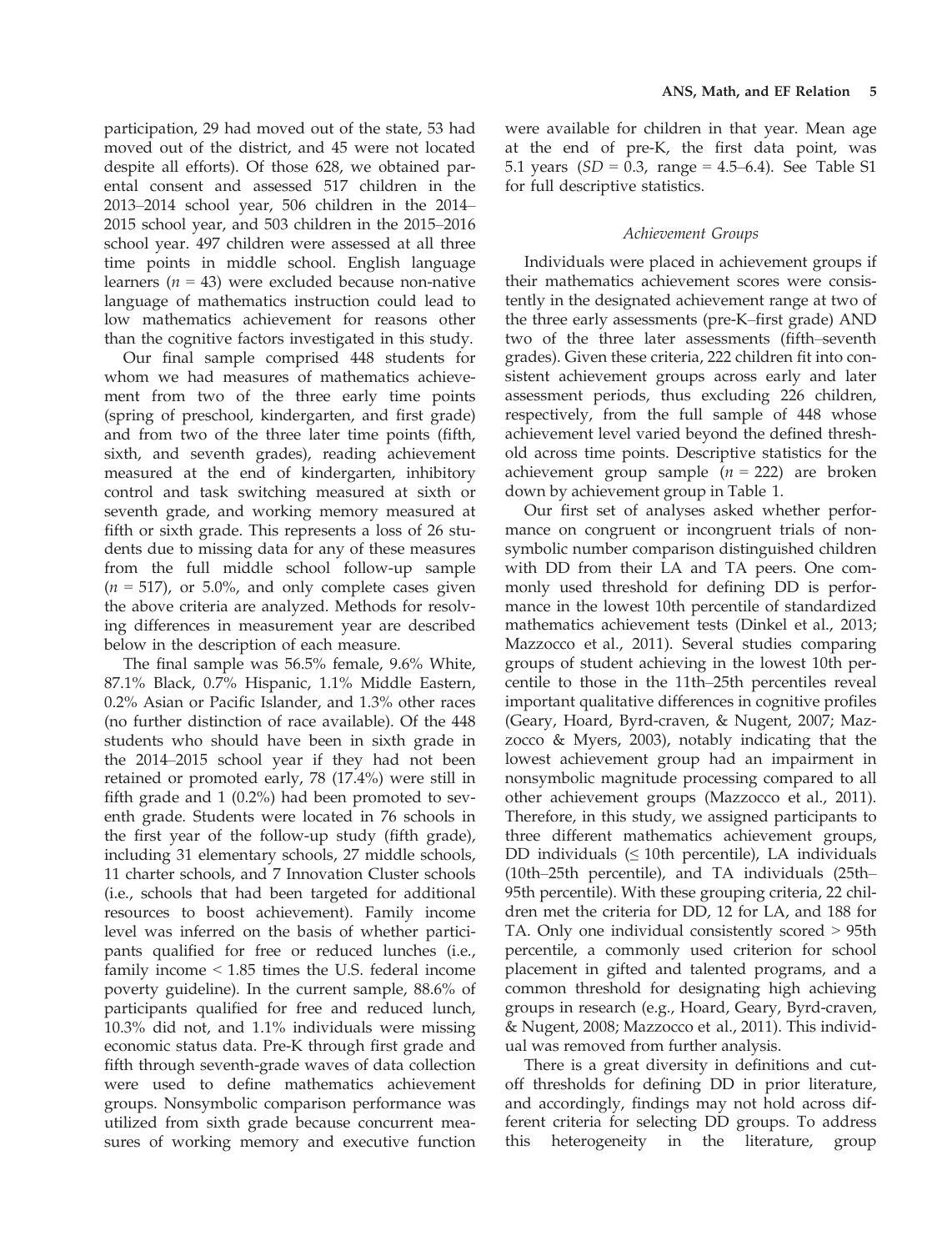participation, 29 had moved out of the state, 53 had moved out of the district, and 45 were not located despite all efforts). Of those 628, we obtained parental consent and assessed 517 children in the 2013–2014 school year, 506 children in the 2014– 2015 school year, and 503 children in the 2015–2016 school year. 497 children were assessed at all three time points in middle school. English language learners ( $n = 43$ ) were excluded because non-native language of mathematics instruction could lead to low mathematics achievement for reasons other than the cognitive factors investigated in this study.

Our final sample comprised 448 students for whom we had measures of mathematics achievement from two of the three early time points (spring of preschool, kindergarten, and first grade) and from two of the three later time points (fifth, sixth, and seventh grades), reading achievement measured at the end of kindergarten, inhibitory control and task switching measured at sixth or seventh grade, and working memory measured at fifth or sixth grade. This represents a loss of 26 students due to missing data for any of these measures from the full middle school follow-up sample  $(n = 517)$ , or 5.0%, and only complete cases given the above criteria are analyzed. Methods for resolving differences in measurement year are described below in the description of each measure.

The final sample was 56.5% female, 9.6% White, 87.1% Black, 0.7% Hispanic, 1.1% Middle Eastern, 0.2% Asian or Pacific Islander, and 1.3% other races (no further distinction of race available). Of the 448 students who should have been in sixth grade in the 2014–2015 school year if they had not been retained or promoted early, 78 (17.4%) were still in fifth grade and 1 (0.2%) had been promoted to seventh grade. Students were located in 76 schools in the first year of the follow-up study (fifth grade), including 31 elementary schools, 27 middle schools, 11 charter schools, and 7 Innovation Cluster schools (i.e., schools that had been targeted for additional resources to boost achievement). Family income level was inferred on the basis of whether participants qualified for free or reduced lunches (i.e., family income < 1.85 times the U.S. federal income poverty guideline). In the current sample, 88.6% of participants qualified for free and reduced lunch, 10.3% did not, and 1.1% individuals were missing economic status data. Pre-K through first grade and fifth through seventh-grade waves of data collection were used to define mathematics achievement groups. Nonsymbolic comparison performance was utilized from sixth grade because concurrent measures of working memory and executive function

were available for children in that year. Mean age at the end of pre-K, the first data point, was 5.1 years  $(SD = 0.3, \text{ range} = 4.5{\text -}6.4)$ . See Table S1 for full descriptive statistics.

#### Achievement Groups

Individuals were placed in achievement groups if their mathematics achievement scores were consistently in the designated achievement range at two of the three early assessments (pre-K–first grade) AND two of the three later assessments (fifth–seventh grades). Given these criteria, 222 children fit into consistent achievement groups across early and later assessment periods, thus excluding 226 children, respectively, from the full sample of 448 whose achievement level varied beyond the defined threshold across time points. Descriptive statistics for the achievement group sample  $(n = 222)$  are broken down by achievement group in Table 1.

Our first set of analyses asked whether performance on congruent or incongruent trials of nonsymbolic number comparison distinguished children with DD from their LA and TA peers. One commonly used threshold for defining DD is performance in the lowest 10th percentile of standardized mathematics achievement tests (Dinkel et al., 2013; Mazzocco et al., 2011). Several studies comparing groups of student achieving in the lowest 10th percentile to those in the 11th–25th percentiles reveal important qualitative differences in cognitive profiles (Geary, Hoard, Byrd-craven, & Nugent, 2007; Mazzocco & Myers, 2003), notably indicating that the lowest achievement group had an impairment in nonsymbolic magnitude processing compared to all other achievement groups (Mazzocco et al., 2011). Therefore, in this study, we assigned participants to three different mathematics achievement groups, DD individuals  $(≤ 10th$  percentile), LA individuals (10th–25th percentile), and TA individuals (25th– 95th percentile). With these grouping criteria, 22 children met the criteria for DD, 12 for LA, and 188 for TA. Only one individual consistently scored > 95th percentile, a commonly used criterion for school placement in gifted and talented programs, and a common threshold for designating high achieving groups in research (e.g., Hoard, Geary, Byrd-craven, & Nugent, 2008; Mazzocco et al., 2011). This individual was removed from further analysis.

There is a great diversity in definitions and cutoff thresholds for defining DD in prior literature, and accordingly, findings may not hold across different criteria for selecting DD groups. To address this heterogeneity in the literature, group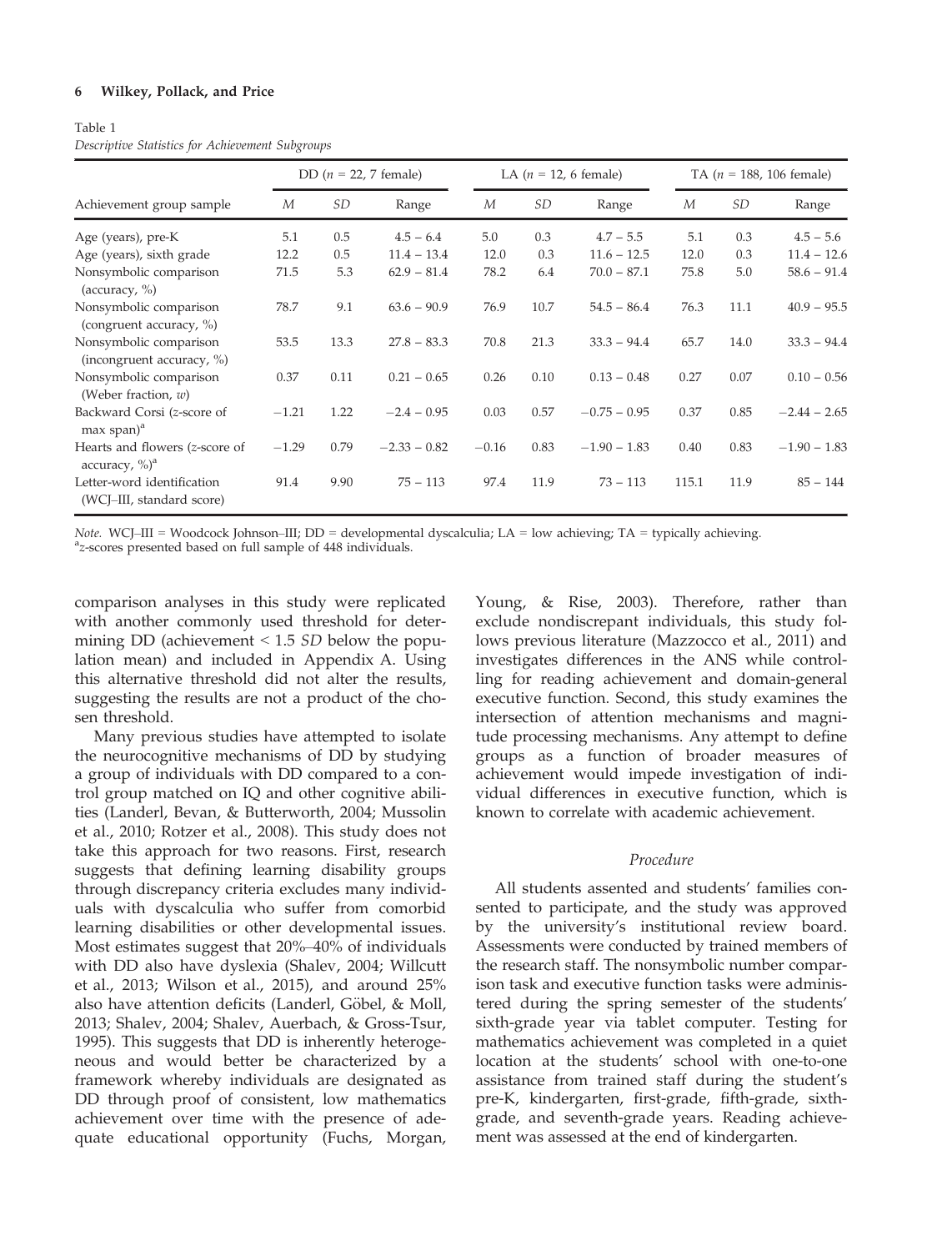## 6 Wilkey, Pollack, and Price

Table 1 Descriptive Statistics for Achievement Subgroups

|                                                               |         |      | DD ( $n = 22, 7$ female) |         |      | LA $(n = 12, 6$ female) |       |      | TA $(n = 188, 106$ female) |
|---------------------------------------------------------------|---------|------|--------------------------|---------|------|-------------------------|-------|------|----------------------------|
| Achievement group sample                                      | М       | SD   | Range                    | М       | SD   | Range                   | М     | SD   | Range                      |
| Age (years), pre-K                                            | 5.1     | 0.5  | $4.5 - 6.4$              | 5.0     | 0.3  | $4.7 - 5.5$             | 5.1   | 0.3  | $4.5 - 5.6$                |
| Age (years), sixth grade                                      | 12.2    | 0.5  | $11.4 - 13.4$            | 12.0    | 0.3  | $11.6 - 12.5$           | 12.0  | 0.3  | $11.4 - 12.6$              |
| Nonsymbolic comparison<br>(accuracy, $\%$ )                   | 71.5    | 5.3  | $62.9 - 81.4$            | 78.2    | 6.4  | $70.0 - 87.1$           | 75.8  | 5.0  | $58.6 - 91.4$              |
| Nonsymbolic comparison<br>(congruent accuracy, %)             | 78.7    | 9.1  | $63.6 - 90.9$            | 76.9    | 10.7 | $54.5 - 86.4$           | 76.3  | 11.1 | $40.9 - 95.5$              |
| Nonsymbolic comparison<br>(incongruent accuracy, $\%$ )       | 53.5    | 13.3 | $27.8 - 83.3$            | 70.8    | 21.3 | $33.3 - 94.4$           | 65.7  | 14.0 | $33.3 - 94.4$              |
| Nonsymbolic comparison<br>(Weber fraction, $w$ )              | 0.37    | 0.11 | $0.21 - 0.65$            | 0.26    | 0.10 | $0.13 - 0.48$           | 0.27  | 0.07 | $0.10 - 0.56$              |
| Backward Corsi (z-score of<br>$max span$ <sup>a</sup>         | $-1.21$ | 1.22 | $-2.4 - 0.95$            | 0.03    | 0.57 | $-0.75 - 0.95$          | 0.37  | 0.85 | $-2.44 - 2.65$             |
| Hearts and flowers (z-score of<br>accuracy, $\%$ <sup>a</sup> | $-1.29$ | 0.79 | $-2.33 - 0.82$           | $-0.16$ | 0.83 | $-1.90 - 1.83$          | 0.40  | 0.83 | $-1.90 - 1.83$             |
| Letter-word identification<br>(WCJ-III, standard score)       | 91.4    | 9.90 | $75 - 113$               | 97.4    | 11.9 | $73 - 113$              | 115.1 | 11.9 | $85 - 144$                 |

Note. WCJ-III = Woodcock Johnson-III; DD = developmental dyscalculia; LA = low achieving; TA = typically achieving. <sup>a</sup>z-scores presented based on full sample of 448 individuals.

comparison analyses in this study were replicated with another commonly used threshold for determining DD (achievement  $\leq$  1.5 *SD* below the population mean) and included in Appendix A. Using this alternative threshold did not alter the results, suggesting the results are not a product of the chosen threshold.

Many previous studies have attempted to isolate the neurocognitive mechanisms of DD by studying a group of individuals with DD compared to a control group matched on IQ and other cognitive abilities (Landerl, Bevan, & Butterworth, 2004; Mussolin et al., 2010; Rotzer et al., 2008). This study does not take this approach for two reasons. First, research suggests that defining learning disability groups through discrepancy criteria excludes many individuals with dyscalculia who suffer from comorbid learning disabilities or other developmental issues. Most estimates suggest that 20%–40% of individuals with DD also have dyslexia (Shalev, 2004; Willcutt et al., 2013; Wilson et al., 2015), and around 25% also have attention deficits (Landerl, Göbel, & Moll, 2013; Shalev, 2004; Shalev, Auerbach, & Gross-Tsur, 1995). This suggests that DD is inherently heterogeneous and would better be characterized by a framework whereby individuals are designated as DD through proof of consistent, low mathematics achievement over time with the presence of adequate educational opportunity (Fuchs, Morgan, Young, & Rise, 2003). Therefore, rather than exclude nondiscrepant individuals, this study follows previous literature (Mazzocco et al., 2011) and investigates differences in the ANS while controlling for reading achievement and domain-general executive function. Second, this study examines the intersection of attention mechanisms and magnitude processing mechanisms. Any attempt to define groups as a function of broader measures of achievement would impede investigation of individual differences in executive function, which is known to correlate with academic achievement.

## Procedure

All students assented and students' families consented to participate, and the study was approved by the university's institutional review board. Assessments were conducted by trained members of the research staff. The nonsymbolic number comparison task and executive function tasks were administered during the spring semester of the students' sixth-grade year via tablet computer. Testing for mathematics achievement was completed in a quiet location at the students' school with one-to-one assistance from trained staff during the student's pre-K, kindergarten, first-grade, fifth-grade, sixthgrade, and seventh-grade years. Reading achievement was assessed at the end of kindergarten.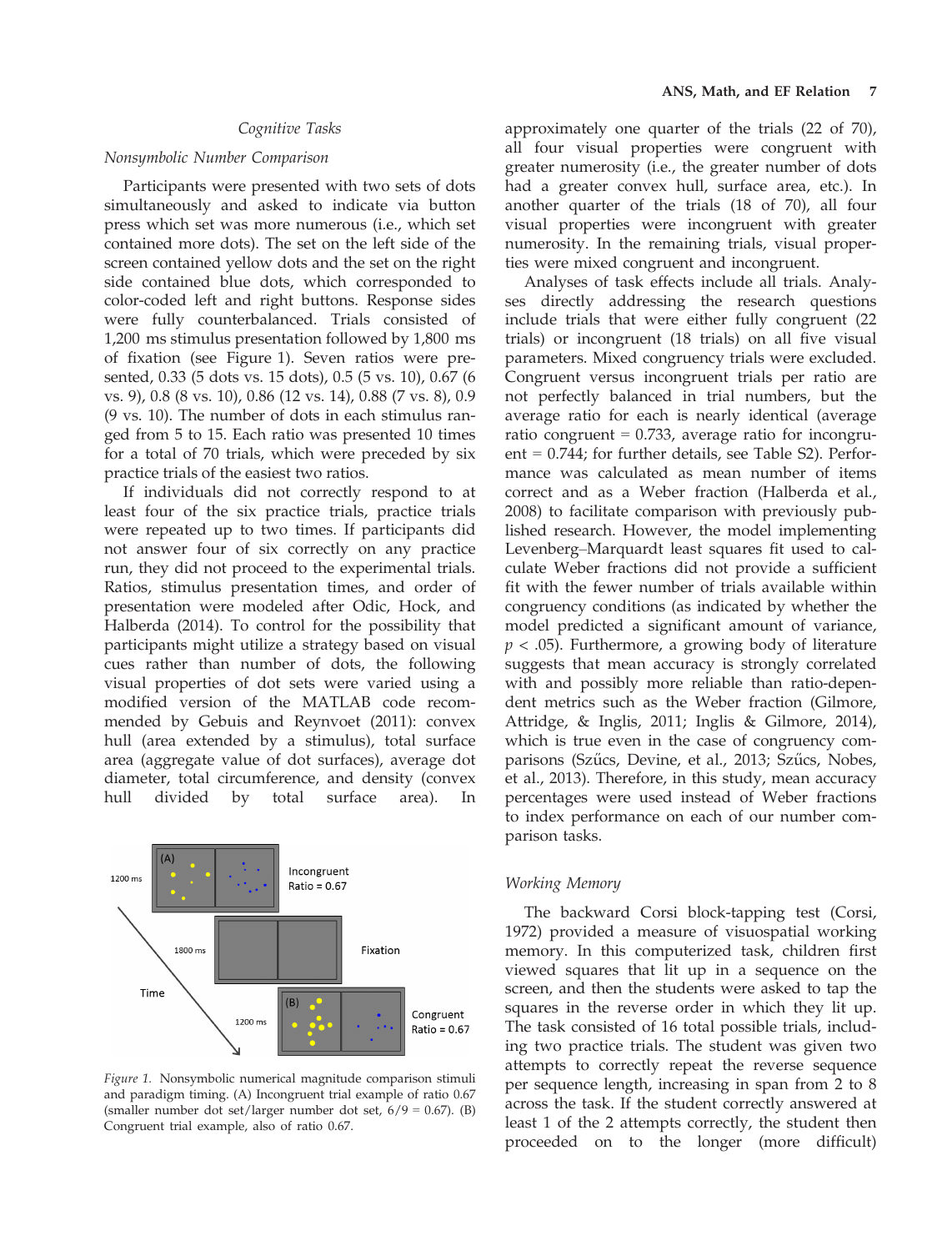#### Cognitive Tasks

#### Nonsymbolic Number Comparison

Participants were presented with two sets of dots simultaneously and asked to indicate via button press which set was more numerous (i.e., which set contained more dots). The set on the left side of the screen contained yellow dots and the set on the right side contained blue dots, which corresponded to color-coded left and right buttons. Response sides were fully counterbalanced. Trials consisted of 1,200 ms stimulus presentation followed by 1,800 ms of fixation (see Figure 1). Seven ratios were presented, 0.33 (5 dots vs. 15 dots), 0.5 (5 vs. 10), 0.67 (6 vs. 9), 0.8 (8 vs. 10), 0.86 (12 vs. 14), 0.88 (7 vs. 8), 0.9 (9 vs. 10). The number of dots in each stimulus ranged from 5 to 15. Each ratio was presented 10 times for a total of 70 trials, which were preceded by six practice trials of the easiest two ratios.

If individuals did not correctly respond to at least four of the six practice trials, practice trials were repeated up to two times. If participants did not answer four of six correctly on any practice run, they did not proceed to the experimental trials. Ratios, stimulus presentation times, and order of presentation were modeled after Odic, Hock, and Halberda (2014). To control for the possibility that participants might utilize a strategy based on visual cues rather than number of dots, the following visual properties of dot sets were varied using a modified version of the MATLAB code recommended by Gebuis and Reynvoet (2011): convex hull (area extended by a stimulus), total surface area (aggregate value of dot surfaces), average dot diameter, total circumference, and density (convex hull divided by total surface area). In



Figure 1. Nonsymbolic numerical magnitude comparison stimuli and paradigm timing. (A) Incongruent trial example of ratio 0.67 (smaller number dot set/larger number dot set,  $6/9 = 0.67$ ). (B) Congruent trial example, also of ratio 0.67.

approximately one quarter of the trials (22 of 70), all four visual properties were congruent with greater numerosity (i.e., the greater number of dots had a greater convex hull, surface area, etc.). In another quarter of the trials (18 of 70), all four visual properties were incongruent with greater numerosity. In the remaining trials, visual properties were mixed congruent and incongruent.

Analyses of task effects include all trials. Analyses directly addressing the research questions include trials that were either fully congruent (22 trials) or incongruent (18 trials) on all five visual parameters. Mixed congruency trials were excluded. Congruent versus incongruent trials per ratio are not perfectly balanced in trial numbers, but the average ratio for each is nearly identical (average ratio congruent =  $0.733$ , average ratio for incongruent = 0.744; for further details, see Table S2). Performance was calculated as mean number of items correct and as a Weber fraction (Halberda et al., 2008) to facilitate comparison with previously published research. However, the model implementing Levenberg–Marquardt least squares fit used to calculate Weber fractions did not provide a sufficient fit with the fewer number of trials available within congruency conditions (as indicated by whether the model predicted a significant amount of variance,  $p < .05$ ). Furthermore, a growing body of literature suggests that mean accuracy is strongly correlated with and possibly more reliable than ratio-dependent metrics such as the Weber fraction (Gilmore, Attridge, & Inglis, 2011; Inglis & Gilmore, 2014), which is true even in the case of congruency comparisons (Szűcs, Devine, et al., 2013; Szűcs, Nobes, et al., 2013). Therefore, in this study, mean accuracy percentages were used instead of Weber fractions to index performance on each of our number comparison tasks.

# Working Memory

The backward Corsi block-tapping test (Corsi, 1972) provided a measure of visuospatial working memory. In this computerized task, children first viewed squares that lit up in a sequence on the screen, and then the students were asked to tap the squares in the reverse order in which they lit up. The task consisted of 16 total possible trials, including two practice trials. The student was given two attempts to correctly repeat the reverse sequence per sequence length, increasing in span from 2 to 8 across the task. If the student correctly answered at least 1 of the 2 attempts correctly, the student then proceeded on to the longer (more difficult)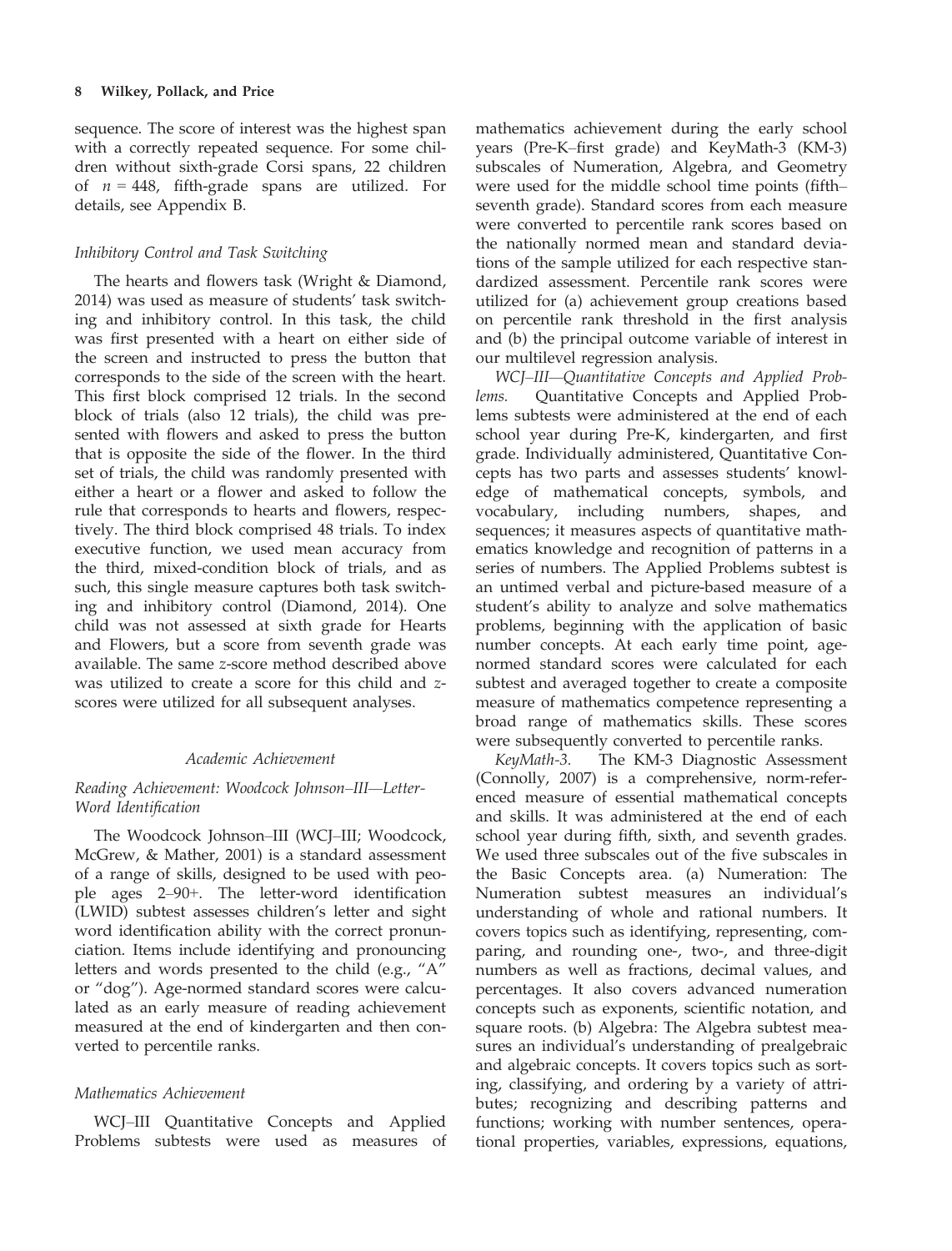sequence. The score of interest was the highest span with a correctly repeated sequence. For some children without sixth-grade Corsi spans, 22 children of  $n = 448$ , fifth-grade spans are utilized. For details, see Appendix B.

# Inhibitory Control and Task Switching

The hearts and flowers task (Wright & Diamond, 2014) was used as measure of students' task switching and inhibitory control. In this task, the child was first presented with a heart on either side of the screen and instructed to press the button that corresponds to the side of the screen with the heart. This first block comprised 12 trials. In the second block of trials (also 12 trials), the child was presented with flowers and asked to press the button that is opposite the side of the flower. In the third set of trials, the child was randomly presented with either a heart or a flower and asked to follow the rule that corresponds to hearts and flowers, respectively. The third block comprised 48 trials. To index executive function, we used mean accuracy from the third, mixed-condition block of trials, and as such, this single measure captures both task switching and inhibitory control (Diamond, 2014). One child was not assessed at sixth grade for Hearts and Flowers, but a score from seventh grade was available. The same z-score method described above was utilized to create a score for this child and zscores were utilized for all subsequent analyses.

# Academic Achievement

# Reading Achievement: Woodcock Johnson–III—Letter-Word Identification

The Woodcock Johnson–III (WCJ–III; Woodcock, McGrew, & Mather, 2001) is a standard assessment of a range of skills, designed to be used with people ages 2–90+. The letter-word identification (LWID) subtest assesses children's letter and sight word identification ability with the correct pronunciation. Items include identifying and pronouncing letters and words presented to the child (e.g., "A" or "dog"). Age-normed standard scores were calculated as an early measure of reading achievement measured at the end of kindergarten and then converted to percentile ranks.

# Mathematics Achievement

WCJ–III Quantitative Concepts and Applied Problems subtests were used as measures of mathematics achievement during the early school years (Pre-K–first grade) and KeyMath-3 (KM-3) subscales of Numeration, Algebra, and Geometry were used for the middle school time points (fifth– seventh grade). Standard scores from each measure were converted to percentile rank scores based on the nationally normed mean and standard deviations of the sample utilized for each respective standardized assessment. Percentile rank scores were utilized for (a) achievement group creations based on percentile rank threshold in the first analysis and (b) the principal outcome variable of interest in our multilevel regression analysis.

WCJ–III—Quantitative Concepts and Applied Problems. Quantitative Concepts and Applied Problems subtests were administered at the end of each school year during Pre-K, kindergarten, and first grade. Individually administered, Quantitative Concepts has two parts and assesses students' knowledge of mathematical concepts, symbols, and vocabulary, including numbers, shapes, and sequences; it measures aspects of quantitative mathematics knowledge and recognition of patterns in a series of numbers. The Applied Problems subtest is an untimed verbal and picture-based measure of a student's ability to analyze and solve mathematics problems, beginning with the application of basic number concepts. At each early time point, agenormed standard scores were calculated for each subtest and averaged together to create a composite measure of mathematics competence representing a broad range of mathematics skills. These scores were subsequently converted to percentile ranks.

KeyMath-3. The KM-3 Diagnostic Assessment (Connolly, 2007) is a comprehensive, norm-referenced measure of essential mathematical concepts and skills. It was administered at the end of each school year during fifth, sixth, and seventh grades. We used three subscales out of the five subscales in the Basic Concepts area. (a) Numeration: The Numeration subtest measures an individual's understanding of whole and rational numbers. It covers topics such as identifying, representing, comparing, and rounding one-, two-, and three-digit numbers as well as fractions, decimal values, and percentages. It also covers advanced numeration concepts such as exponents, scientific notation, and square roots. (b) Algebra: The Algebra subtest measures an individual's understanding of prealgebraic and algebraic concepts. It covers topics such as sorting, classifying, and ordering by a variety of attributes; recognizing and describing patterns and functions; working with number sentences, operational properties, variables, expressions, equations,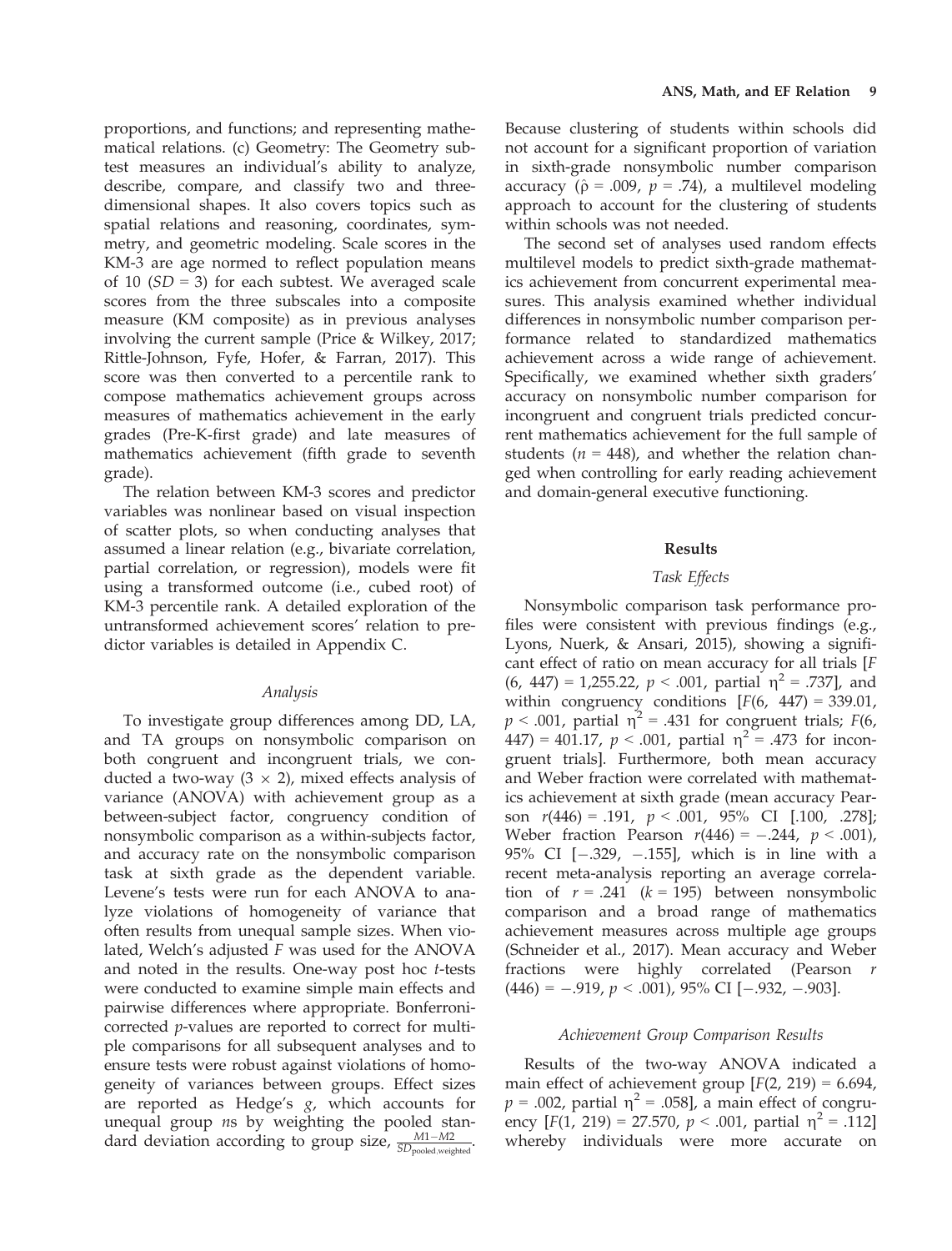proportions, and functions; and representing mathematical relations. (c) Geometry: The Geometry subtest measures an individual's ability to analyze, describe, compare, and classify two and threedimensional shapes. It also covers topics such as spatial relations and reasoning, coordinates, symmetry, and geometric modeling. Scale scores in the KM-3 are age normed to reflect population means of 10  $(SD = 3)$  for each subtest. We averaged scale scores from the three subscales into a composite measure (KM composite) as in previous analyses involving the current sample (Price & Wilkey, 2017; Rittle-Johnson, Fyfe, Hofer, & Farran, 2017). This score was then converted to a percentile rank to compose mathematics achievement groups across measures of mathematics achievement in the early grades (Pre-K-first grade) and late measures of mathematics achievement (fifth grade to seventh grade).

The relation between KM-3 scores and predictor variables was nonlinear based on visual inspection of scatter plots, so when conducting analyses that assumed a linear relation (e.g., bivariate correlation, partial correlation, or regression), models were fit using a transformed outcome (i.e., cubed root) of KM-3 percentile rank. A detailed exploration of the untransformed achievement scores' relation to predictor variables is detailed in Appendix C.

#### Analysis

To investigate group differences among DD, LA, and TA groups on nonsymbolic comparison on both congruent and incongruent trials, we conducted a two-way  $(3 \times 2)$ , mixed effects analysis of variance (ANOVA) with achievement group as a between-subject factor, congruency condition of nonsymbolic comparison as a within-subjects factor, and accuracy rate on the nonsymbolic comparison task at sixth grade as the dependent variable. Levene's tests were run for each ANOVA to analyze violations of homogeneity of variance that often results from unequal sample sizes. When violated, Welch's adjusted F was used for the ANOVA and noted in the results. One-way post hoc t-tests were conducted to examine simple main effects and pairwise differences where appropriate. Bonferronicorrected p-values are reported to correct for multiple comparisons for all subsequent analyses and to ensure tests were robust against violations of homogeneity of variances between groups. Effect sizes are reported as Hedge's g, which accounts for unequal group ns by weighting the pooled standard deviation according to group size,  $\frac{M1-M2}{SD_{pooled, weighted}}$ .

Because clustering of students within schools did not account for a significant proportion of variation in sixth-grade nonsymbolic number comparison accuracy ( $\hat{\rho}$  = .009, p = .74), a multilevel modeling approach to account for the clustering of students within schools was not needed.

The second set of analyses used random effects multilevel models to predict sixth-grade mathematics achievement from concurrent experimental measures. This analysis examined whether individual differences in nonsymbolic number comparison performance related to standardized mathematics achievement across a wide range of achievement. Specifically, we examined whether sixth graders' accuracy on nonsymbolic number comparison for incongruent and congruent trials predicted concurrent mathematics achievement for the full sample of students ( $n = 448$ ), and whether the relation changed when controlling for early reading achievement and domain-general executive functioning.

## Results

## Task Effects

Nonsymbolic comparison task performance profiles were consistent with previous findings (e.g., Lyons, Nuerk, & Ansari, 2015), showing a significant effect of ratio on mean accuracy for all trials [F  $(6, 447) = 1,255.22, p < .001$ , partial  $\eta^2 = .737$ , and within congruency conditions  $[F(6, 447) = 339.01,$  $p < .001$ , partial  $\eta^2 = .431$  for congruent trials;  $F(6, 6)$ 447) = 401.17,  $p < .001$ , partial  $\eta^2 = .473$  for incongruent trials]. Furthermore, both mean accuracy and Weber fraction were correlated with mathematics achievement at sixth grade (mean accuracy Pearson  $r(446) = .191$ ,  $p < .001$ ,  $95\%$  CI [.100, .278]; Weber fraction Pearson  $r(446) = -.244$ ,  $p < .001$ ), 95% CI  $[-.329, -.155]$ , which is in line with a recent meta-analysis reporting an average correlation of  $r = .241$  ( $k = 195$ ) between nonsymbolic comparison and a broad range of mathematics achievement measures across multiple age groups (Schneider et al., 2017). Mean accuracy and Weber fractions were highly correlated (Pearson r  $(446) = -.919, p < .001$ , 95% CI [-.932, -.903].

#### Achievement Group Comparison Results

Results of the two-way ANOVA indicated a main effect of achievement group  $[F(2, 219) = 6.694]$ ,  $p = .002$ , partial  $\eta^2 = .058$ , a main effect of congruency  $[F(1, 219) = 27.570, p < .001,$  partial  $\eta^2 = .112]$ whereby individuals were more accurate on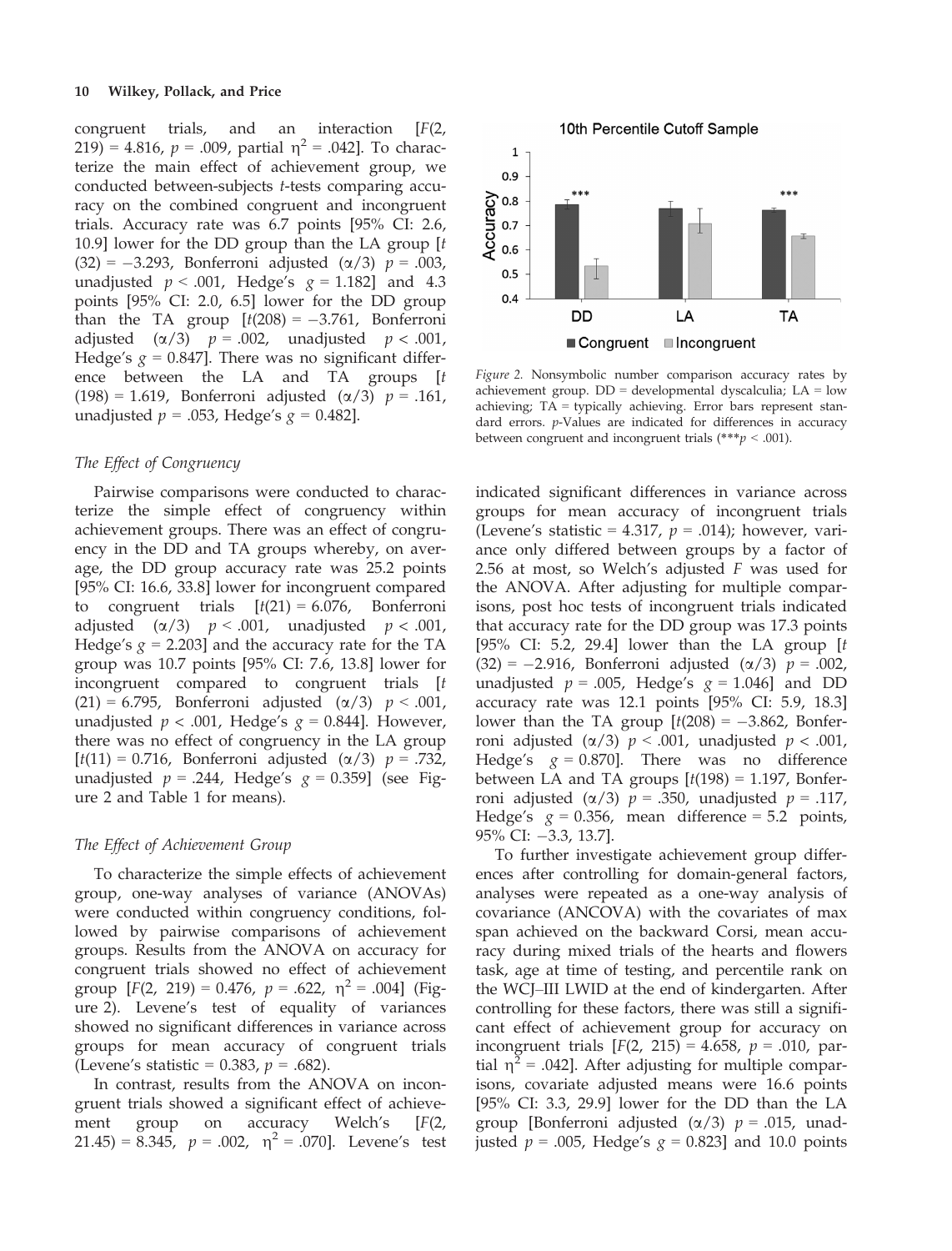congruent trials, and an interaction [F(2, 219) = 4.816,  $p = .009$ , partial  $\eta^2 = .042$ . To characterize the main effect of achievement group, we conducted between-subjects t-tests comparing accuracy on the combined congruent and incongruent trials. Accuracy rate was 6.7 points [95% CI: 2.6, 10.9] lower for the DD group than the LA group [t (32) = -3.293, Bonferroni adjusted  $(\alpha/3)$   $p = .003$ , unadjusted  $p < .001$ , Hedge's  $g = 1.182$  and 4.3 points [95% CI: 2.0, 6.5] lower for the DD group than the TA group  $[t(208) = -3.761]$ , Bonferroni adjusted  $(\alpha/3)$   $p = .002$ , unadjusted  $p < .001$ , Hedge's  $g = 0.847$ . There was no significant difference between the LA and TA groups  $[t]$ (198) = 1.619, Bonferroni adjusted  $(\alpha/3)$   $p = .161$ , unadjusted  $p = .053$ , Hedge's  $g = 0.482$ ].

## The Effect of Congruency

Pairwise comparisons were conducted to characterize the simple effect of congruency within achievement groups. There was an effect of congruency in the DD and TA groups whereby, on average, the DD group accuracy rate was 25.2 points [95% CI: 16.6, 33.8] lower for incongruent compared to congruent trials  $[t(21) = 6.076$ , Bonferroni adjusted  $(\alpha/3)$   $p < .001$ , unadjusted  $p < .001$ , Hedge's  $g = 2.203$ ] and the accuracy rate for the TA group was 10.7 points [95% CI: 7.6, 13.8] lower for incongruent compared to congruent trials [t (21) = 6.795, Bonferroni adjusted  $(\alpha/3)$   $p < .001$ , unadjusted  $p < .001$ , Hedge's  $g = 0.844$ ]. However, there was no effect of congruency in the LA group  $[t(11) = 0.716,$  Bonferroni adjusted  $(\alpha/3)$   $p = .732,$ unadjusted  $p = .244$ , Hedge's  $g = 0.359$  (see Figure 2 and Table 1 for means).

#### The Effect of Achievement Group

To characterize the simple effects of achievement group, one-way analyses of variance (ANOVAs) were conducted within congruency conditions, followed by pairwise comparisons of achievement groups. Results from the ANOVA on accuracy for congruent trials showed no effect of achievement group  $[F(2, 219) = 0.476, p = .622, \eta^2 = .004]$  (Figure 2). Levene's test of equality of variances showed no significant differences in variance across groups for mean accuracy of congruent trials (Levene's statistic = 0.383,  $p = .682$ ).

In contrast, results from the ANOVA on incongruent trials showed a significant effect of achievement group on accuracy Welch's [F(2, 21.45) = 8.345,  $p = .002$ ,  $\eta^2 = .070$ . Levene's test



Figure 2. Nonsymbolic number comparison accuracy rates by achievement group. DD = developmental dyscalculia; LA = low achieving; TA = typically achieving. Error bars represent standard errors. p-Values are indicated for differences in accuracy between congruent and incongruent trials (\*\*\* $p < .001$ ).

indicated significant differences in variance across groups for mean accuracy of incongruent trials (Levene's statistic = 4.317,  $p = .014$ ); however, variance only differed between groups by a factor of 2.56 at most, so Welch's adjusted F was used for the ANOVA. After adjusting for multiple comparisons, post hoc tests of incongruent trials indicated that accuracy rate for the DD group was 17.3 points [95% CI: 5.2, 29.4] lower than the LA group  $[t]$ (32) = -2.916, Bonferroni adjusted  $(\alpha/3)$   $p = .002$ , unadjusted  $p = .005$ , Hedge's  $g = 1.046$ ] and DD accuracy rate was 12.1 points [95% CI: 5.9, 18.3] lower than the TA group  $[t(208) = -3.862]$ , Bonferroni adjusted  $(\alpha/3)$   $p < .001$ , unadjusted  $p < .001$ ,<br>Hedge's  $g = 0.870$ ]. There was no difference between LA and TA groups  $[t(198) = 1.197,$  Bonferroni adjusted  $(\alpha/3)$   $p = .350$ , unadjusted  $p = .117$ , Hedge's  $g = 0.356$ , mean difference = 5.2 points, 95% CI: -3.3, 13.7].

To further investigate achievement group differences after controlling for domain-general factors, analyses were repeated as a one-way analysis of covariance (ANCOVA) with the covariates of max span achieved on the backward Corsi, mean accuracy during mixed trials of the hearts and flowers task, age at time of testing, and percentile rank on the WCJ–III LWID at the end of kindergarten. After controlling for these factors, there was still a significant effect of achievement group for accuracy on incongruent trials  $[F(2, 215) = 4.658, p = .010, p$ artial  $\eta^2$  = .042]. After adjusting for multiple comparisons, covariate adjusted means were 16.6 points [95% CI: 3.3, 29.9] lower for the DD than the LA group [Bonferroni adjusted  $(\alpha/3)$   $p = .015$ , unadjusted  $p = .005$ , Hedge's  $g = 0.823$ ] and 10.0 points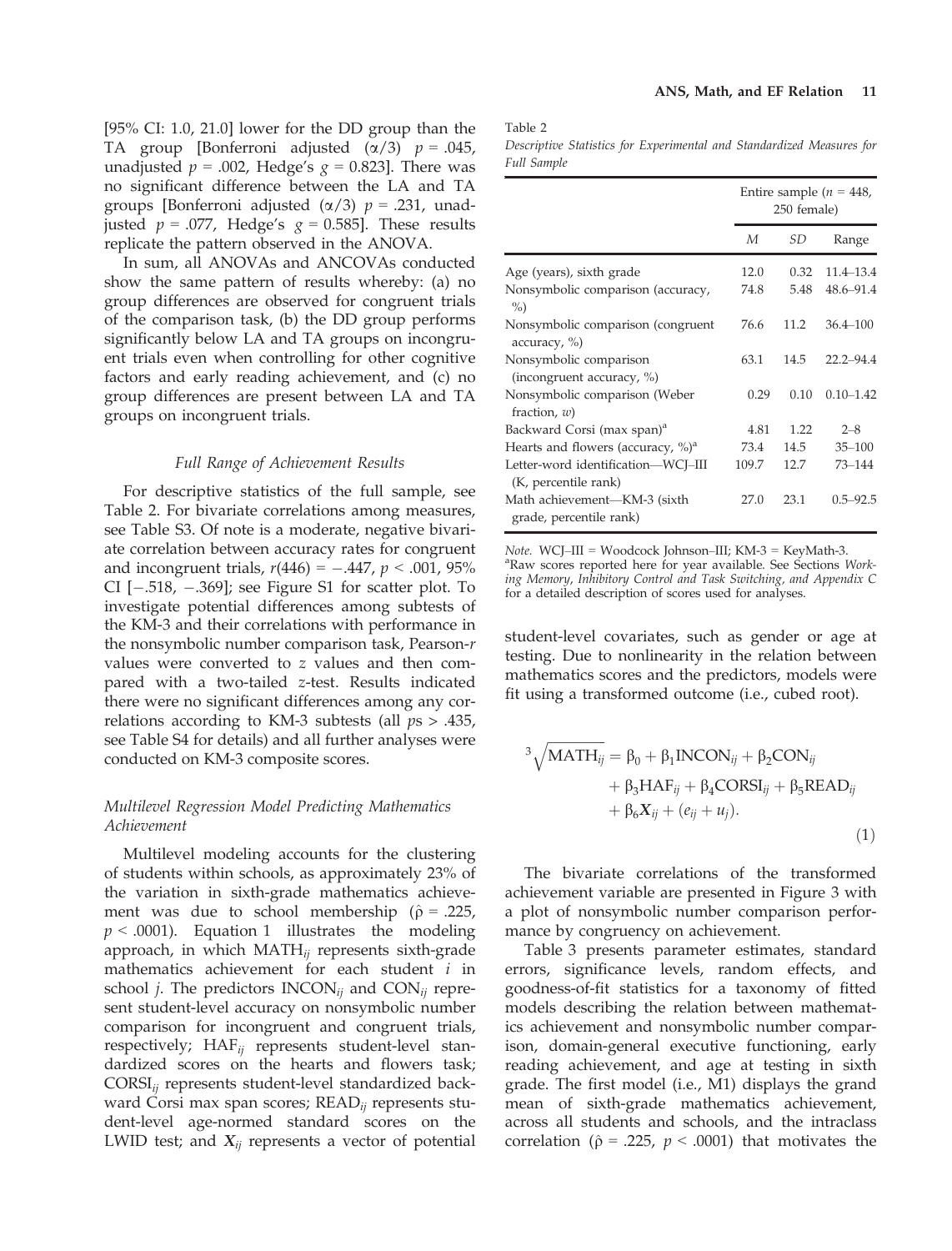[95% CI: 1.0, 21.0] lower for the DD group than the TA group [Bonferroni adjusted  $(\alpha/3)$   $p = .045$ , unadjusted  $p = .002$ , Hedge's  $g = 0.823$ ]. There was no significant difference between the LA and TA groups [Bonferroni adjusted  $(\alpha/3)$   $p = .231$ , unadjusted  $p = .077$ , Hedge's  $g = 0.585$ ]. These results replicate the pattern observed in the ANOVA.

In sum, all ANOVAs and ANCOVAs conducted show the same pattern of results whereby: (a) no group differences are observed for congruent trials of the comparison task, (b) the DD group performs significantly below LA and TA groups on incongruent trials even when controlling for other cognitive factors and early reading achievement, and (c) no group differences are present between LA and TA groups on incongruent trials.

#### Full Range of Achievement Results

For descriptive statistics of the full sample, see Table 2. For bivariate correlations among measures, see Table S3. Of note is a moderate, negative bivariate correlation between accuracy rates for congruent and incongruent trials,  $r(446) = -.447$ ,  $p < .001$ , 95% CI  $[-.518, -.369]$ ; see Figure S1 for scatter plot. To investigate potential differences among subtests of the KM-3 and their correlations with performance in the nonsymbolic number comparison task, Pearson-r values were converted to z values and then compared with a two-tailed z-test. Results indicated there were no significant differences among any correlations according to KM-3 subtests (all  $ps > .435$ , see Table S4 for details) and all further analyses were conducted on KM-3 composite scores.

# Multilevel Regression Model Predicting Mathematics Achievement

Multilevel modeling accounts for the clustering of students within schools, as approximately 23% of the variation in sixth-grade mathematics achievement was due to school membership ( $\hat{\rho}$  = .225,  $p < .0001$ ). Equation 1 illustrates the modeling approach, in which  $MATH_{ii}$  represents sixth-grade mathematics achievement for each student i in school *j*. The predictors  $INCON_{ii}$  and  $CON_{ii}$  represent student-level accuracy on nonsymbolic number comparison for incongruent and congruent trials, respectively;  $HAF_{ii}$  represents student-level standardized scores on the hearts and flowers task;  $CORSI_{ii}$  represents student-level standardized backward Corsi max span scores;  $\text{READ}_{ii}$  represents student-level age-normed standard scores on the LWID test; and  $X_{ij}$  represents a vector of potential

| le 2 |                           |  |
|------|---------------------------|--|
|      | rrintine Statistics for F |  |

Tab

|                    |  | Descriptive Statistics for Experimental and Standardized Measures for |  |  |
|--------------------|--|-----------------------------------------------------------------------|--|--|
| <b>Full Sample</b> |  |                                                                       |  |  |

|                                                            |       | 250 female) | Entire sample ( $n = 448$ , |
|------------------------------------------------------------|-------|-------------|-----------------------------|
|                                                            | М     | SD          | Range                       |
| Age (years), sixth grade                                   | 12.0  | 0.32        | $11.4 - 13.4$               |
| Nonsymbolic comparison (accuracy,<br>$\%$                  | 74.8  | 5.48        | 48.6–91.4                   |
| Nonsymbolic comparison (congruent<br>accuracy, $\%$ )      | 76.6  | 11.2        | $36.4 - 100$                |
| Nonsymbolic comparison<br>(incongruent accuracy, %)        | 63.1  | 14.5        | $22.2 - 94.4$               |
| Nonsymbolic comparison (Weber<br>fraction, $w$ )           | 0.29  | 0.10        | $0.10 - 1.42$               |
| Backward Corsi (max span) <sup>a</sup>                     | 4.81  | 1.22        | $2 - 8$                     |
| Hearts and flowers (accuracy, $\%$ ) <sup>a</sup>          | 73.4  | 14.5        | $35 - 100$                  |
| Letter-word identification—WCJ-III<br>(K, percentile rank) | 109.7 | 12.7        | $73 - 144$                  |
| Math achievement—KM-3 (sixth<br>grade, percentile rank)    | 27.0  | 23.1        | $0.5 - 92.5$                |

Note. WCJ-III = Woodcock Johnson-III; KM-3 = KeyMath-3. <sup>a</sup>Raw scores reported here for year available. See Sections Working Memory, Inhibitory Control and Task Switching, and Appendix C for a detailed description of scores used for analyses.

student-level covariates, such as gender or age at testing. Due to nonlinearity in the relation between mathematics scores and the predictors, models were fit using a transformed outcome (i.e., cubed root).

$$
{}^{3}\sqrt{\text{MATH}_{ij}} = \beta_0 + \beta_1 \text{INCON}_{ij} + \beta_2 \text{CON}_{ij} + \beta_3 \text{HAF}_{ij} + \beta_4 \text{CORSI}_{ij} + \beta_5 \text{READ}_{ij} + \beta_6 X_{ij} + (e_{ij} + u_j).
$$
\n(1)

The bivariate correlations of the transformed achievement variable are presented in Figure 3 with a plot of nonsymbolic number comparison performance by congruency on achievement.

Table 3 presents parameter estimates, standard errors, significance levels, random effects, and goodness-of-fit statistics for a taxonomy of fitted models describing the relation between mathematics achievement and nonsymbolic number comparison, domain-general executive functioning, early reading achievement, and age at testing in sixth grade. The first model (i.e., M1) displays the grand mean of sixth-grade mathematics achievement, across all students and schools, and the intraclass correlation ( $\hat{\rho}$  = .225, p < .0001) that motivates the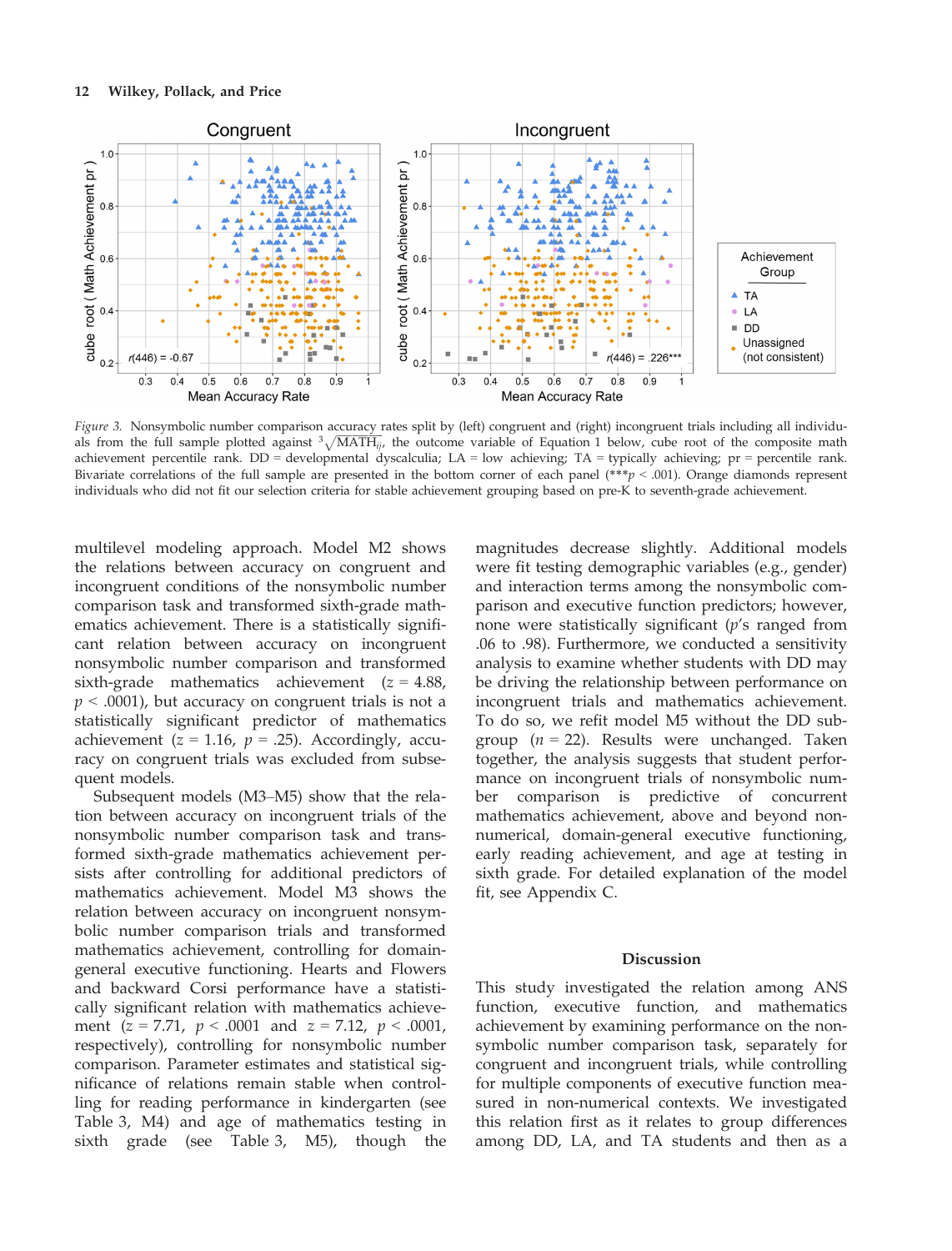

Figure 3. Nonsymbolic number comparison accuracy rates split by (left) congruent and (right) incongruent trials including all individuals from the full sample plotted against  $\sqrt[3]{\text{MATH}_{ij}}$ , the outcome variable of Equation 1 below, cube root of the composite math achievement percentile rank. DD = developmental dyscalculia; LA = low achieving; TA = typically achieving; pr = percentile rank. Bivariate correlations of the full sample are presented in the bottom corner of each panel (\*\*\*p < .001). Orange diamonds represent individuals who did not fit our selection criteria for stable achievement grouping based on pre-K to seventh-grade achievement.

multilevel modeling approach. Model M2 shows the relations between accuracy on congruent and incongruent conditions of the nonsymbolic number comparison task and transformed sixth-grade mathematics achievement. There is a statistically significant relation between accuracy on incongruent nonsymbolic number comparison and transformed sixth-grade mathematics achievement  $(z = 4.88,$  $p < .0001$ ), but accuracy on congruent trials is not a statistically significant predictor of mathematics achievement ( $z = 1.16$ ,  $p = .25$ ). Accordingly, accuracy on congruent trials was excluded from subsequent models.

Subsequent models (M3–M5) show that the relation between accuracy on incongruent trials of the nonsymbolic number comparison task and transformed sixth-grade mathematics achievement persists after controlling for additional predictors of mathematics achievement. Model M3 shows the relation between accuracy on incongruent nonsymbolic number comparison trials and transformed mathematics achievement, controlling for domaingeneral executive functioning. Hearts and Flowers and backward Corsi performance have a statistically significant relation with mathematics achievement ( $z = 7.71$ ,  $p < .0001$  and  $z = 7.12$ ,  $p < .0001$ , respectively), controlling for nonsymbolic number comparison. Parameter estimates and statistical significance of relations remain stable when controlling for reading performance in kindergarten (see Table 3, M4) and age of mathematics testing in sixth grade (see Table 3, M5), though the magnitudes decrease slightly. Additional models were fit testing demographic variables (e.g., gender) and interaction terms among the nonsymbolic comparison and executive function predictors; however, none were statistically significant (p's ranged from .06 to .98). Furthermore, we conducted a sensitivity analysis to examine whether students with DD may be driving the relationship between performance on incongruent trials and mathematics achievement. To do so, we refit model M5 without the DD subgroup ( $n = 22$ ). Results were unchanged. Taken together, the analysis suggests that student performance on incongruent trials of nonsymbolic number comparison is predictive of concurrent mathematics achievement, above and beyond nonnumerical, domain-general executive functioning, early reading achievement, and age at testing in sixth grade. For detailed explanation of the model fit, see Appendix C.

#### **Discussion**

This study investigated the relation among ANS function, executive function, and mathematics achievement by examining performance on the nonsymbolic number comparison task, separately for congruent and incongruent trials, while controlling for multiple components of executive function measured in non-numerical contexts. We investigated this relation first as it relates to group differences among DD, LA, and TA students and then as a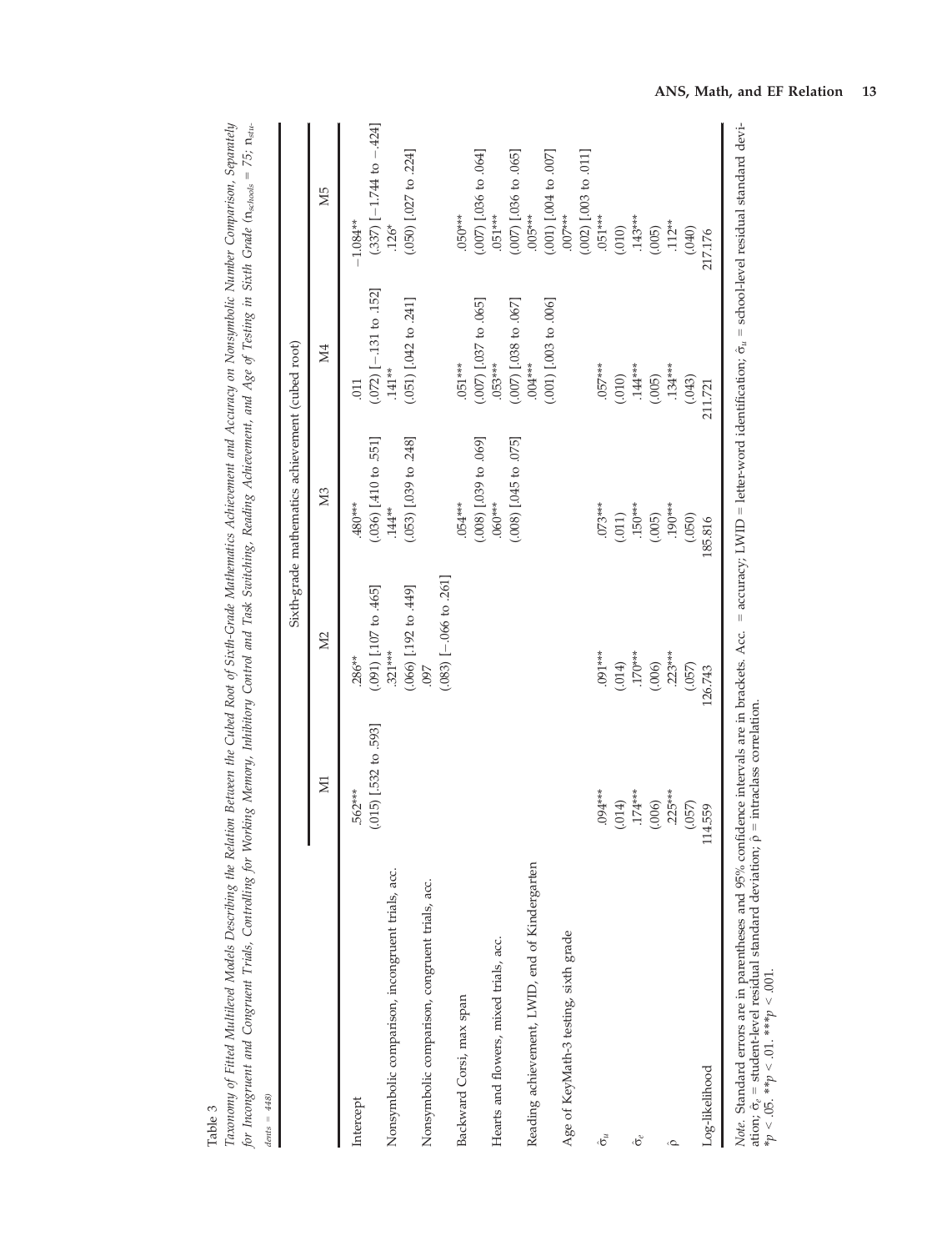|                                                  |                                     |                                                                                      | Sixth-grade mathematics achievement (cubed root) |                                     |                                             |
|--------------------------------------------------|-------------------------------------|--------------------------------------------------------------------------------------|--------------------------------------------------|-------------------------------------|---------------------------------------------|
|                                                  | Σ                                   | $\Sigma$                                                                             | X3                                               | <b>M4</b>                           | ΣM                                          |
| Intercept                                        | $(015)$ [.532 to .593]<br>$.562***$ | (.091) [.107 to .465]<br>$.286**$                                                    | (.036) [.410 to .551]<br>.480***                 | $(0.072)$ [-.131 to .152]<br>011    | $(.337)$ [-1.744 to $-.424$ ]<br>$-1.084**$ |
| Nonsymbolic comparison, incongruent trials, acc. |                                     | 321 ***                                                                              | .144**                                           | 141**                               | $(.050)$ $[.027$ to $.224]$<br>$.126*$      |
| Nonsymbolic comparison, congruent trials, acc.   |                                     | $(.083)$ $[-.066$ to $.261]$<br>[677 or 261] $[.192 \text{ to } .449]$<br><b>C60</b> | $(053)$ [.059 to .248]                           | $(.051)$ $[.042$ to $.241]$         |                                             |
| Backward Corsi, max span                         |                                     |                                                                                      | 054***                                           | $***1051$                           | $***050**$                                  |
|                                                  |                                     |                                                                                      | $[690.$ or $60.$ ] $(800.)$                      | $(007)$ $[.037$ to $.065]$          | $(0.007)$ [.036 to .064]                    |
| Hearts and flowers, mixed trials, acc.           |                                     |                                                                                      | $-060***$                                        | $.053***$                           | $051***$                                    |
| Reading achievement, LWID, end of Kindergarten   |                                     |                                                                                      | $[.008]$ $[.045$ to $.075]$                      | $(007)$ [.038 to .067]<br>$***1001$ | $(0.007)$ [.036 to .065]<br>$005***$        |
|                                                  |                                     |                                                                                      |                                                  | $(001)$ $[0.003$ to $0.06]$         | [0.001, 0.004, 0.007]                       |
| Age of KeyMath-3 testing, sixth grade            |                                     |                                                                                      |                                                  |                                     | $.007***$                                   |
|                                                  |                                     |                                                                                      |                                                  |                                     | $(0.002)$ $[.003$ to $.011]$                |
| $\hat{\sigma}$                                   | $.094***$                           | $***$ [60]                                                                           | $.073***$                                        | $.057***$                           | $051***$                                    |
|                                                  | (0.14)                              | (.014)                                                                               | (.011)                                           | (010)                               | (.010)                                      |
| $\hat{\sigma}$                                   | $.174***$                           | $170***$                                                                             | $.150***$                                        | $.144***$                           | $.143***$                                   |
|                                                  | (.006)                              | (.006)                                                                               | (.005)                                           | (.005)                              | (005)                                       |
| $\hat{O}$                                        | $.225***$                           | $.223***$                                                                            | .190***                                          | $.134***$                           | $.112**$                                    |
|                                                  | (.057)                              | (.057)                                                                               | (050)                                            | (.043)                              | (040)                                       |
| Log-likelihood                                   | 114.559                             | 126.743                                                                              | 185.816                                          | 211.721                             | 217.176                                     |

Taxonomy of Fitted Maltilevel Models Describing the Relation Between the Cubed Root of Sixth-Grade Mathematics Achievement and Accuracy on Nonsymbolic Number Comparison, Separately<br>for Incongruent and Congruent Trials, Con Taxonomy of Fitted Multilevel Models Describing the Relation Between the Cubed Root of Sixth-Grade Mathematics Achievement and Accuracy on Nonsymbolic Number Comparison, Separately for Incongruent and Congruent Trials, Controlling for Working Memory, Inhibitory Control and Task Switching, Reading Achievement, and Age of Testing in Sixth Grade (nschools = 75; nstu-

Table 3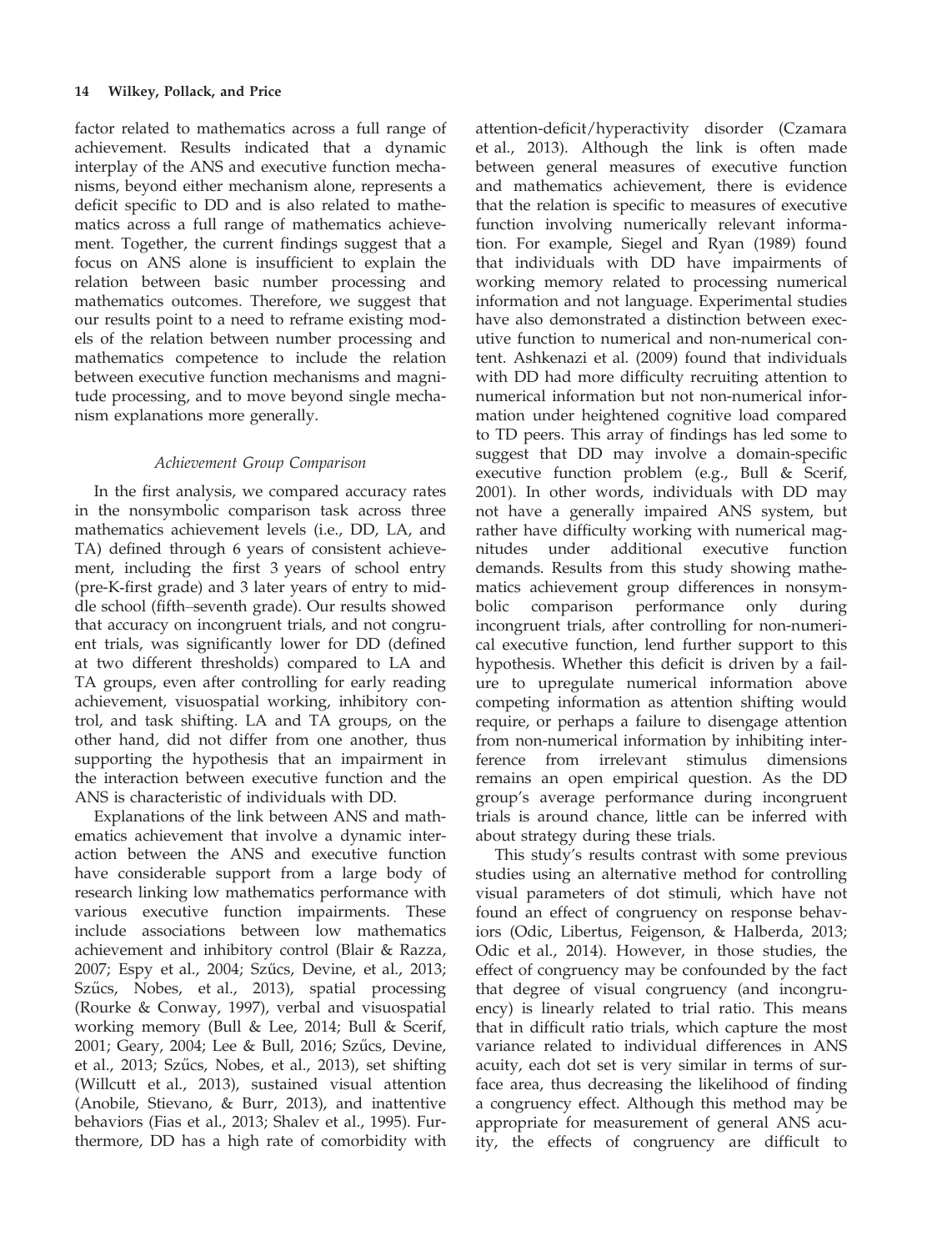factor related to mathematics across a full range of achievement. Results indicated that a dynamic interplay of the ANS and executive function mechanisms, beyond either mechanism alone, represents a deficit specific to DD and is also related to mathematics across a full range of mathematics achievement. Together, the current findings suggest that a focus on ANS alone is insufficient to explain the relation between basic number processing and mathematics outcomes. Therefore, we suggest that our results point to a need to reframe existing models of the relation between number processing and mathematics competence to include the relation between executive function mechanisms and magnitude processing, and to move beyond single mechanism explanations more generally.

# Achievement Group Comparison

In the first analysis, we compared accuracy rates in the nonsymbolic comparison task across three mathematics achievement levels (i.e., DD, LA, and TA) defined through 6 years of consistent achievement, including the first 3 years of school entry (pre-K-first grade) and 3 later years of entry to middle school (fifth–seventh grade). Our results showed that accuracy on incongruent trials, and not congruent trials, was significantly lower for DD (defined at two different thresholds) compared to LA and TA groups, even after controlling for early reading achievement, visuospatial working, inhibitory control, and task shifting. LA and TA groups, on the other hand, did not differ from one another, thus supporting the hypothesis that an impairment in the interaction between executive function and the ANS is characteristic of individuals with DD.

Explanations of the link between ANS and mathematics achievement that involve a dynamic interaction between the ANS and executive function have considerable support from a large body of research linking low mathematics performance with various executive function impairments. These include associations between low mathematics achievement and inhibitory control (Blair & Razza, 2007; Espy et al., 2004; Szűcs, Devine, et al., 2013; Szűcs, Nobes, et al., 2013), spatial processing (Rourke & Conway, 1997), verbal and visuospatial working memory (Bull & Lee, 2014; Bull & Scerif, 2001; Geary, 2004; Lee & Bull, 2016; Szűcs, Devine, et al., 2013; Szűcs, Nobes, et al., 2013), set shifting (Willcutt et al., 2013), sustained visual attention (Anobile, Stievano, & Burr, 2013), and inattentive behaviors (Fias et al., 2013; Shalev et al., 1995). Furthermore, DD has a high rate of comorbidity with attention-deficit/hyperactivity disorder (Czamara et al., 2013). Although the link is often made between general measures of executive function and mathematics achievement, there is evidence that the relation is specific to measures of executive function involving numerically relevant information. For example, Siegel and Ryan (1989) found that individuals with DD have impairments of working memory related to processing numerical information and not language. Experimental studies have also demonstrated a distinction between executive function to numerical and non-numerical content. Ashkenazi et al. (2009) found that individuals with DD had more difficulty recruiting attention to numerical information but not non-numerical information under heightened cognitive load compared to TD peers. This array of findings has led some to suggest that DD may involve a domain-specific executive function problem (e.g., Bull & Scerif, 2001). In other words, individuals with DD may not have a generally impaired ANS system, but rather have difficulty working with numerical magnitudes under additional executive function demands. Results from this study showing mathematics achievement group differences in nonsymbolic comparison performance only during incongruent trials, after controlling for non-numerical executive function, lend further support to this hypothesis. Whether this deficit is driven by a failure to upregulate numerical information above competing information as attention shifting would require, or perhaps a failure to disengage attention from non-numerical information by inhibiting interference from irrelevant stimulus dimensions remains an open empirical question. As the DD group's average performance during incongruent trials is around chance, little can be inferred with about strategy during these trials.

This study's results contrast with some previous studies using an alternative method for controlling visual parameters of dot stimuli, which have not found an effect of congruency on response behaviors (Odic, Libertus, Feigenson, & Halberda, 2013; Odic et al., 2014). However, in those studies, the effect of congruency may be confounded by the fact that degree of visual congruency (and incongruency) is linearly related to trial ratio. This means that in difficult ratio trials, which capture the most variance related to individual differences in ANS acuity, each dot set is very similar in terms of surface area, thus decreasing the likelihood of finding a congruency effect. Although this method may be appropriate for measurement of general ANS acuity, the effects of congruency are difficult to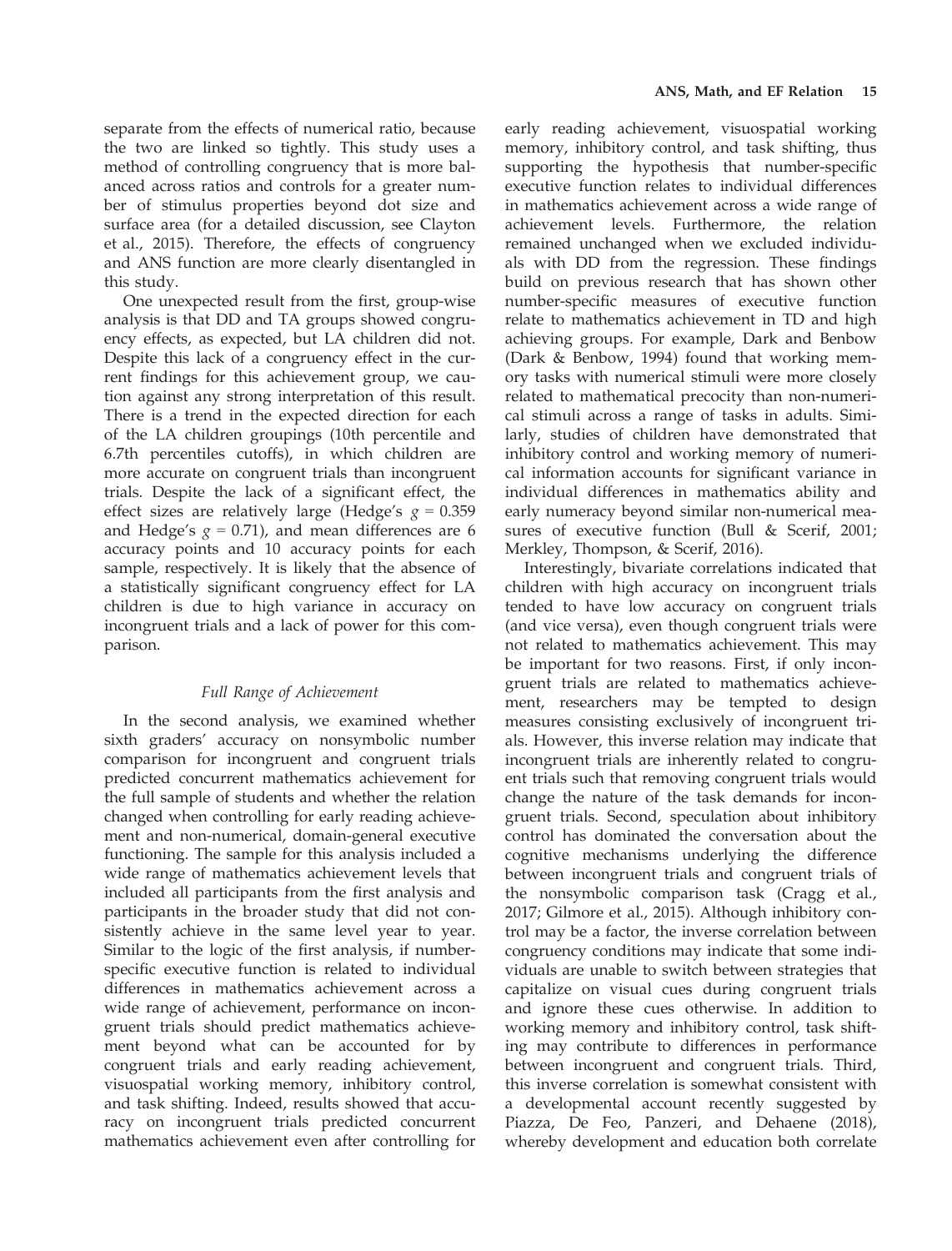separate from the effects of numerical ratio, because the two are linked so tightly. This study uses a method of controlling congruency that is more balanced across ratios and controls for a greater number of stimulus properties beyond dot size and surface area (for a detailed discussion, see Clayton et al., 2015). Therefore, the effects of congruency and ANS function are more clearly disentangled in this study.

One unexpected result from the first, group-wise analysis is that DD and TA groups showed congruency effects, as expected, but LA children did not. Despite this lack of a congruency effect in the current findings for this achievement group, we caution against any strong interpretation of this result. There is a trend in the expected direction for each of the LA children groupings (10th percentile and 6.7th percentiles cutoffs), in which children are more accurate on congruent trials than incongruent trials. Despite the lack of a significant effect, the effect sizes are relatively large (Hedge's  $g = 0.359$ and Hedge's  $g = 0.71$ ), and mean differences are 6 accuracy points and 10 accuracy points for each sample, respectively. It is likely that the absence of a statistically significant congruency effect for LA children is due to high variance in accuracy on incongruent trials and a lack of power for this comparison.

#### Full Range of Achievement

In the second analysis, we examined whether sixth graders' accuracy on nonsymbolic number comparison for incongruent and congruent trials predicted concurrent mathematics achievement for the full sample of students and whether the relation changed when controlling for early reading achievement and non-numerical, domain-general executive functioning. The sample for this analysis included a wide range of mathematics achievement levels that included all participants from the first analysis and participants in the broader study that did not consistently achieve in the same level year to year. Similar to the logic of the first analysis, if numberspecific executive function is related to individual differences in mathematics achievement across a wide range of achievement, performance on incongruent trials should predict mathematics achievement beyond what can be accounted for by congruent trials and early reading achievement, visuospatial working memory, inhibitory control, and task shifting. Indeed, results showed that accuracy on incongruent trials predicted concurrent mathematics achievement even after controlling for

early reading achievement, visuospatial working memory, inhibitory control, and task shifting, thus supporting the hypothesis that number-specific executive function relates to individual differences in mathematics achievement across a wide range of achievement levels. Furthermore, the relation remained unchanged when we excluded individuals with DD from the regression. These findings build on previous research that has shown other number-specific measures of executive function relate to mathematics achievement in TD and high achieving groups. For example, Dark and Benbow (Dark & Benbow, 1994) found that working memory tasks with numerical stimuli were more closely related to mathematical precocity than non-numerical stimuli across a range of tasks in adults. Similarly, studies of children have demonstrated that inhibitory control and working memory of numerical information accounts for significant variance in individual differences in mathematics ability and early numeracy beyond similar non-numerical measures of executive function (Bull & Scerif, 2001; Merkley, Thompson, & Scerif, 2016).

Interestingly, bivariate correlations indicated that children with high accuracy on incongruent trials tended to have low accuracy on congruent trials (and vice versa), even though congruent trials were not related to mathematics achievement. This may be important for two reasons. First, if only incongruent trials are related to mathematics achievement, researchers may be tempted to design measures consisting exclusively of incongruent trials. However, this inverse relation may indicate that incongruent trials are inherently related to congruent trials such that removing congruent trials would change the nature of the task demands for incongruent trials. Second, speculation about inhibitory control has dominated the conversation about the cognitive mechanisms underlying the difference between incongruent trials and congruent trials of the nonsymbolic comparison task (Cragg et al., 2017; Gilmore et al., 2015). Although inhibitory control may be a factor, the inverse correlation between congruency conditions may indicate that some individuals are unable to switch between strategies that capitalize on visual cues during congruent trials and ignore these cues otherwise. In addition to working memory and inhibitory control, task shifting may contribute to differences in performance between incongruent and congruent trials. Third, this inverse correlation is somewhat consistent with a developmental account recently suggested by Piazza, De Feo, Panzeri, and Dehaene (2018), whereby development and education both correlate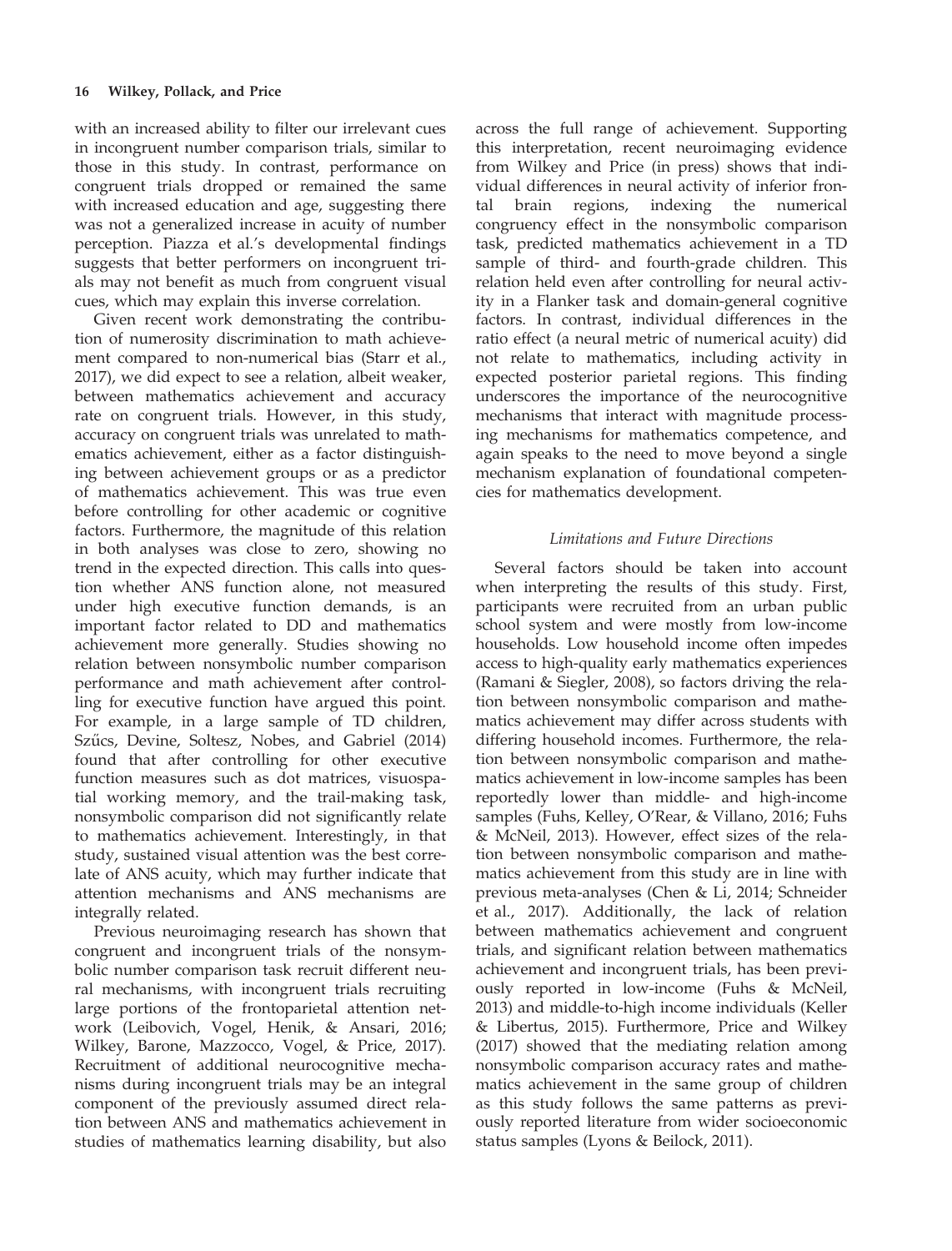with an increased ability to filter our irrelevant cues in incongruent number comparison trials, similar to those in this study. In contrast, performance on congruent trials dropped or remained the same with increased education and age, suggesting there was not a generalized increase in acuity of number perception. Piazza et al.'s developmental findings suggests that better performers on incongruent trials may not benefit as much from congruent visual cues, which may explain this inverse correlation.

Given recent work demonstrating the contribution of numerosity discrimination to math achievement compared to non-numerical bias (Starr et al., 2017), we did expect to see a relation, albeit weaker, between mathematics achievement and accuracy rate on congruent trials. However, in this study, accuracy on congruent trials was unrelated to mathematics achievement, either as a factor distinguishing between achievement groups or as a predictor of mathematics achievement. This was true even before controlling for other academic or cognitive factors. Furthermore, the magnitude of this relation in both analyses was close to zero, showing no trend in the expected direction. This calls into question whether ANS function alone, not measured under high executive function demands, is an important factor related to DD and mathematics achievement more generally. Studies showing no relation between nonsymbolic number comparison performance and math achievement after controlling for executive function have argued this point. For example, in a large sample of TD children, Szűcs, Devine, Soltesz, Nobes, and Gabriel (2014) found that after controlling for other executive function measures such as dot matrices, visuospatial working memory, and the trail-making task, nonsymbolic comparison did not significantly relate to mathematics achievement. Interestingly, in that study, sustained visual attention was the best correlate of ANS acuity, which may further indicate that attention mechanisms and ANS mechanisms are integrally related.

Previous neuroimaging research has shown that congruent and incongruent trials of the nonsymbolic number comparison task recruit different neural mechanisms, with incongruent trials recruiting large portions of the frontoparietal attention network (Leibovich, Vogel, Henik, & Ansari, 2016; Wilkey, Barone, Mazzocco, Vogel, & Price, 2017). Recruitment of additional neurocognitive mechanisms during incongruent trials may be an integral component of the previously assumed direct relation between ANS and mathematics achievement in studies of mathematics learning disability, but also

across the full range of achievement. Supporting this interpretation, recent neuroimaging evidence from Wilkey and Price (in press) shows that individual differences in neural activity of inferior frontal brain regions, indexing the numerical congruency effect in the nonsymbolic comparison task, predicted mathematics achievement in a TD sample of third- and fourth-grade children. This relation held even after controlling for neural activity in a Flanker task and domain-general cognitive factors. In contrast, individual differences in the ratio effect (a neural metric of numerical acuity) did not relate to mathematics, including activity in expected posterior parietal regions. This finding underscores the importance of the neurocognitive mechanisms that interact with magnitude processing mechanisms for mathematics competence, and again speaks to the need to move beyond a single mechanism explanation of foundational competencies for mathematics development.

# Limitations and Future Directions

Several factors should be taken into account when interpreting the results of this study. First, participants were recruited from an urban public school system and were mostly from low-income households. Low household income often impedes access to high-quality early mathematics experiences (Ramani & Siegler, 2008), so factors driving the relation between nonsymbolic comparison and mathematics achievement may differ across students with differing household incomes. Furthermore, the relation between nonsymbolic comparison and mathematics achievement in low-income samples has been reportedly lower than middle- and high-income samples (Fuhs, Kelley, O'Rear, & Villano, 2016; Fuhs & McNeil, 2013). However, effect sizes of the relation between nonsymbolic comparison and mathematics achievement from this study are in line with previous meta-analyses (Chen & Li, 2014; Schneider et al., 2017). Additionally, the lack of relation between mathematics achievement and congruent trials, and significant relation between mathematics achievement and incongruent trials, has been previously reported in low-income (Fuhs & McNeil, 2013) and middle-to-high income individuals (Keller & Libertus, 2015). Furthermore, Price and Wilkey (2017) showed that the mediating relation among nonsymbolic comparison accuracy rates and mathematics achievement in the same group of children as this study follows the same patterns as previously reported literature from wider socioeconomic status samples (Lyons & Beilock, 2011).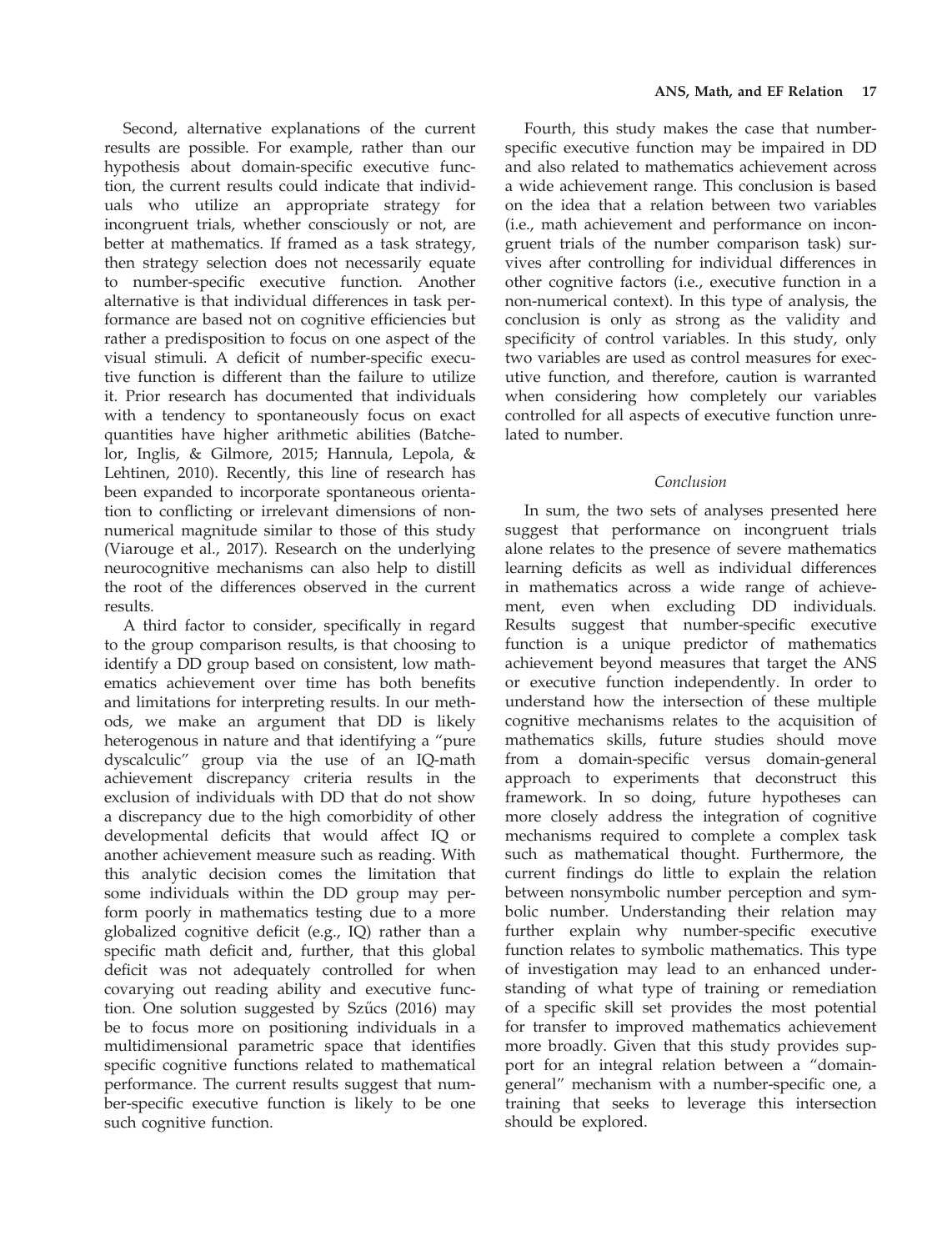Second, alternative explanations of the current results are possible. For example, rather than our hypothesis about domain-specific executive function, the current results could indicate that individuals who utilize an appropriate strategy for incongruent trials, whether consciously or not, are better at mathematics. If framed as a task strategy, then strategy selection does not necessarily equate to number-specific executive function. Another alternative is that individual differences in task performance are based not on cognitive efficiencies but rather a predisposition to focus on one aspect of the visual stimuli. A deficit of number-specific executive function is different than the failure to utilize it. Prior research has documented that individuals with a tendency to spontaneously focus on exact quantities have higher arithmetic abilities (Batchelor, Inglis, & Gilmore, 2015; Hannula, Lepola, & Lehtinen, 2010). Recently, this line of research has been expanded to incorporate spontaneous orientation to conflicting or irrelevant dimensions of nonnumerical magnitude similar to those of this study (Viarouge et al., 2017). Research on the underlying neurocognitive mechanisms can also help to distill the root of the differences observed in the current results.

A third factor to consider, specifically in regard to the group comparison results, is that choosing to identify a DD group based on consistent, low mathematics achievement over time has both benefits and limitations for interpreting results. In our methods, we make an argument that DD is likely heterogenous in nature and that identifying a "pure dyscalculic" group via the use of an IQ-math achievement discrepancy criteria results in the exclusion of individuals with DD that do not show a discrepancy due to the high comorbidity of other developmental deficits that would affect IQ or another achievement measure such as reading. With this analytic decision comes the limitation that some individuals within the DD group may perform poorly in mathematics testing due to a more globalized cognitive deficit (e.g., IQ) rather than a specific math deficit and, further, that this global deficit was not adequately controlled for when covarying out reading ability and executive function. One solution suggested by Szűcs (2016) may be to focus more on positioning individuals in a multidimensional parametric space that identifies specific cognitive functions related to mathematical performance. The current results suggest that number-specific executive function is likely to be one such cognitive function.

Fourth, this study makes the case that numberspecific executive function may be impaired in DD and also related to mathematics achievement across a wide achievement range. This conclusion is based on the idea that a relation between two variables (i.e., math achievement and performance on incongruent trials of the number comparison task) survives after controlling for individual differences in other cognitive factors (i.e., executive function in a non-numerical context). In this type of analysis, the conclusion is only as strong as the validity and specificity of control variables. In this study, only two variables are used as control measures for executive function, and therefore, caution is warranted when considering how completely our variables controlled for all aspects of executive function unrelated to number.

#### Conclusion

In sum, the two sets of analyses presented here suggest that performance on incongruent trials alone relates to the presence of severe mathematics learning deficits as well as individual differences in mathematics across a wide range of achievement, even when excluding DD individuals. Results suggest that number-specific executive function is a unique predictor of mathematics achievement beyond measures that target the ANS or executive function independently. In order to understand how the intersection of these multiple cognitive mechanisms relates to the acquisition of mathematics skills, future studies should move from a domain-specific versus domain-general approach to experiments that deconstruct this framework. In so doing, future hypotheses can more closely address the integration of cognitive mechanisms required to complete a complex task such as mathematical thought. Furthermore, the current findings do little to explain the relation between nonsymbolic number perception and symbolic number. Understanding their relation may further explain why number-specific executive function relates to symbolic mathematics. This type of investigation may lead to an enhanced understanding of what type of training or remediation of a specific skill set provides the most potential for transfer to improved mathematics achievement more broadly. Given that this study provides support for an integral relation between a "domaingeneral" mechanism with a number-specific one, a training that seeks to leverage this intersection should be explored.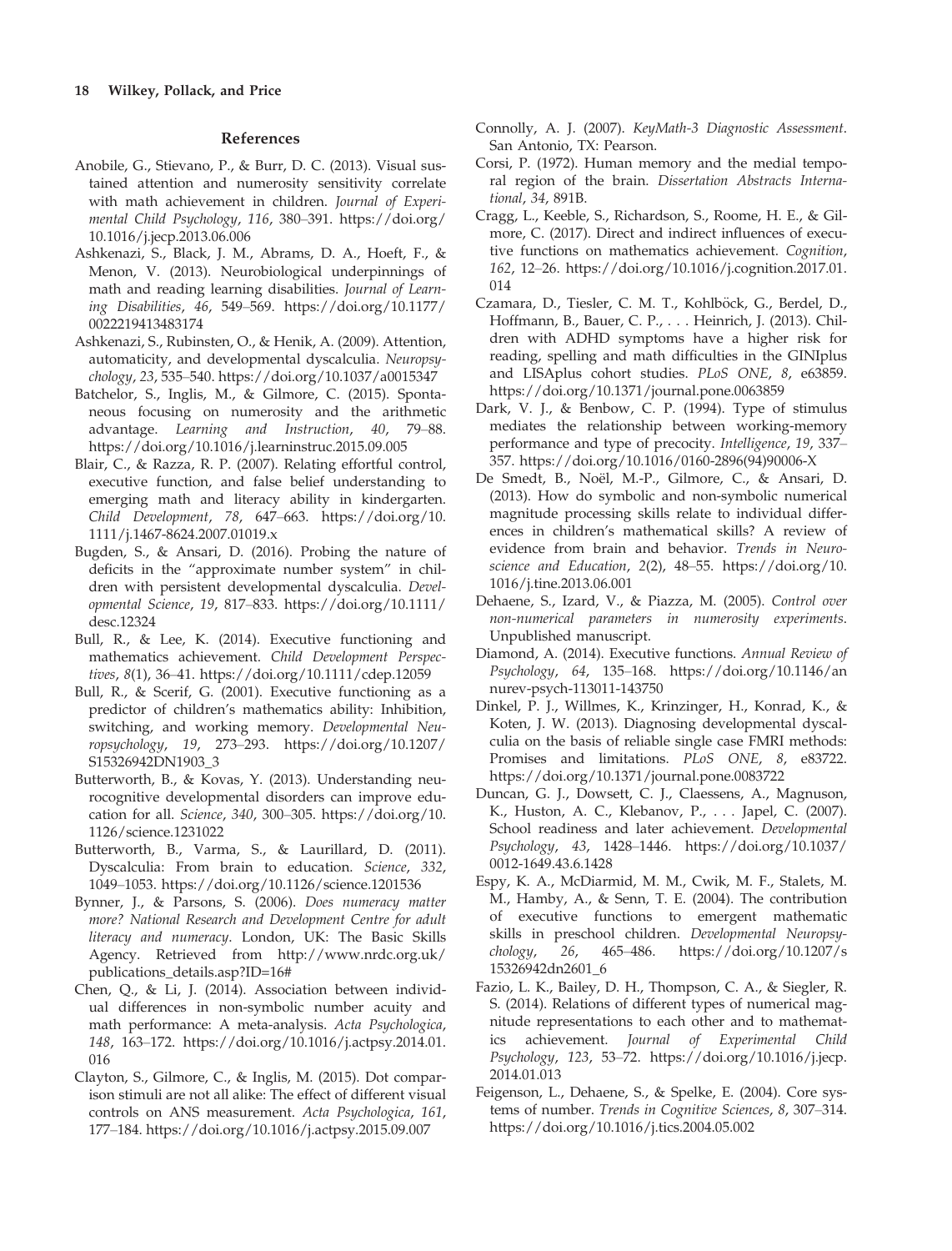#### References

- Anobile, G., Stievano, P., & Burr, D. C. (2013). Visual sustained attention and numerosity sensitivity correlate with math achievement in children. Journal of Experimental Child Psychology, 116, 380–391. [https://doi.org/](https://doi.org/10.1016/j.jecp.2013.06.006) [10.1016/j.jecp.2013.06.006](https://doi.org/10.1016/j.jecp.2013.06.006)
- Ashkenazi, S., Black, J. M., Abrams, D. A., Hoeft, F., & Menon, V. (2013). Neurobiological underpinnings of math and reading learning disabilities. Journal of Learning Disabilities, 46, 549–569. [https://doi.org/10.1177/](https://doi.org/10.1177/0022219413483174) [0022219413483174](https://doi.org/10.1177/0022219413483174)
- Ashkenazi, S., Rubinsten, O., & Henik, A. (2009). Attention, automaticity, and developmental dyscalculia. Neuropsychology, 23, 535–540.<https://doi.org/10.1037/a0015347>
- Batchelor, S., Inglis, M., & Gilmore, C. (2015). Spontaneous focusing on numerosity and the arithmetic advantage. Learning and Instruction, 40, 79–88. <https://doi.org/10.1016/j.learninstruc.2015.09.005>
- Blair, C., & Razza, R. P. (2007). Relating effortful control, executive function, and false belief understanding to emerging math and literacy ability in kindergarten. Child Development, 78, 647–663. [https://doi.org/10.](https://doi.org/10.1111/j.1467-8624.2007.01019.x) [1111/j.1467-8624.2007.01019.x](https://doi.org/10.1111/j.1467-8624.2007.01019.x)
- Bugden, S., & Ansari, D. (2016). Probing the nature of deficits in the "approximate number system" in children with persistent developmental dyscalculia. Developmental Science, 19, 817–833. [https://doi.org/10.1111/](https://doi.org/10.1111/desc.12324) [desc.12324](https://doi.org/10.1111/desc.12324)
- Bull, R., & Lee, K. (2014). Executive functioning and mathematics achievement. Child Development Perspectives, 8(1), 36–41.<https://doi.org/10.1111/cdep.12059>
- Bull, R., & Scerif, G. (2001). Executive functioning as a predictor of children's mathematics ability: Inhibition, switching, and working memory. Developmental Neuropsychology, 19, 273–293. [https://doi.org/10.1207/](https://doi.org/10.1207/S15326942DN1903_3) [S15326942DN1903\\_3](https://doi.org/10.1207/S15326942DN1903_3)
- Butterworth, B., & Kovas, Y. (2013). Understanding neurocognitive developmental disorders can improve education for all. Science, 340, 300–305. [https://doi.org/10.](https://doi.org/10.1126/science.1231022) [1126/science.1231022](https://doi.org/10.1126/science.1231022)
- Butterworth, B., Varma, S., & Laurillard, D. (2011). Dyscalculia: From brain to education. Science, 332, 1049–1053.<https://doi.org/10.1126/science.1201536>
- Bynner, J., & Parsons, S. (2006). Does numeracy matter more? National Research and Development Centre for adult literacy and numeracy. London, UK: The Basic Skills Agency. Retrieved from [http://www.nrdc.org.uk/](http://www.nrdc.org.uk/publications_details.asp?ID=16#) [publications\\_details.asp?ID=16#](http://www.nrdc.org.uk/publications_details.asp?ID=16#)
- Chen, Q., & Li, J. (2014). Association between individual differences in non-symbolic number acuity and math performance: A meta-analysis. Acta Psychologica, 148, 163–172. [https://doi.org/10.1016/j.actpsy.2014.01.](https://doi.org/10.1016/j.actpsy.2014.01.016) [016](https://doi.org/10.1016/j.actpsy.2014.01.016)
- Clayton, S., Gilmore, C., & Inglis, M. (2015). Dot comparison stimuli are not all alike: The effect of different visual controls on ANS measurement. Acta Psychologica, 161, 177–184.<https://doi.org/10.1016/j.actpsy.2015.09.007>
- Connolly, A. J. (2007). KeyMath-3 Diagnostic Assessment. San Antonio, TX: Pearson.
- Corsi, P. (1972). Human memory and the medial temporal region of the brain. Dissertation Abstracts International, 34, 891B.
- Cragg, L., Keeble, S., Richardson, S., Roome, H. E., & Gilmore, C. (2017). Direct and indirect influences of executive functions on mathematics achievement. Cognition, 162, 12–26. [https://doi.org/10.1016/j.cognition.2017.01.](https://doi.org/10.1016/j.cognition.2017.01.014) [014](https://doi.org/10.1016/j.cognition.2017.01.014)
- Czamara, D., Tiesler, C. M. T., Kohlböck, G., Berdel, D., Hoffmann, B., Bauer, C. P., . . . Heinrich, J. (2013). Children with ADHD symptoms have a higher risk for reading, spelling and math difficulties in the GINIplus and LISAplus cohort studies. PLoS ONE, 8, e63859. <https://doi.org/10.1371/journal.pone.0063859>
- Dark, V. J., & Benbow, C. P. (1994). Type of stimulus mediates the relationship between working-memory performance and type of precocity. Intelligence, 19, 337– 357. [https://doi.org/10.1016/0160-2896\(94\)90006-X](https://doi.org/10.1016/0160-2896(94)90006-X)
- De Smedt, B., Noël, M.-P., Gilmore, C., & Ansari, D. (2013). How do symbolic and non-symbolic numerical magnitude processing skills relate to individual differences in children's mathematical skills? A review of evidence from brain and behavior. Trends in Neuroscience and Education, 2(2), 48–55. [https://doi.org/10.](https://doi.org/10.1016/j.tine.2013.06.001) [1016/j.tine.2013.06.001](https://doi.org/10.1016/j.tine.2013.06.001)
- Dehaene, S., Izard, V., & Piazza, M. (2005). Control over non-numerical parameters in numerosity experiments. Unpublished manuscript.
- Diamond, A. (2014). Executive functions. Annual Review of Psychology, 64, 135–168. [https://doi.org/10.1146/an](https://doi.org/10.1146/annurev-psych-113011-143750) [nurev-psych-113011-143750](https://doi.org/10.1146/annurev-psych-113011-143750)
- Dinkel, P. J., Willmes, K., Krinzinger, H., Konrad, K., & Koten, J. W. (2013). Diagnosing developmental dyscalculia on the basis of reliable single case FMRI methods: Promises and limitations. PLoS ONE, 8, e83722. <https://doi.org/10.1371/journal.pone.0083722>
- Duncan, G. J., Dowsett, C. J., Claessens, A., Magnuson, K., Huston, A. C., Klebanov, P., . . . Japel, C. (2007). School readiness and later achievement. Developmental Psychology, 43, 1428–1446. [https://doi.org/10.1037/](https://doi.org/10.1037/0012-1649.43.6.1428) [0012-1649.43.6.1428](https://doi.org/10.1037/0012-1649.43.6.1428)
- Espy, K. A., McDiarmid, M. M., Cwik, M. F., Stalets, M. M., Hamby, A., & Senn, T. E. (2004). The contribution of executive functions to emergent mathematic skills in preschool children. Developmental Neuropsychology, 26, 465–486. [https://doi.org/10.1207/s](https://doi.org/10.1207/s15326942dn2601_6) [15326942dn2601\\_6](https://doi.org/10.1207/s15326942dn2601_6)
- Fazio, L. K., Bailey, D. H., Thompson, C. A., & Siegler, R. S. (2014). Relations of different types of numerical magnitude representations to each other and to mathematics achievement. Journal of Experimental Child Psychology, 123, 53–72. [https://doi.org/10.1016/j.jecp.](https://doi.org/10.1016/j.jecp.2014.01.013) [2014.01.013](https://doi.org/10.1016/j.jecp.2014.01.013)
- Feigenson, L., Dehaene, S., & Spelke, E. (2004). Core systems of number. Trends in Cognitive Sciences, 8, 307–314. <https://doi.org/10.1016/j.tics.2004.05.002>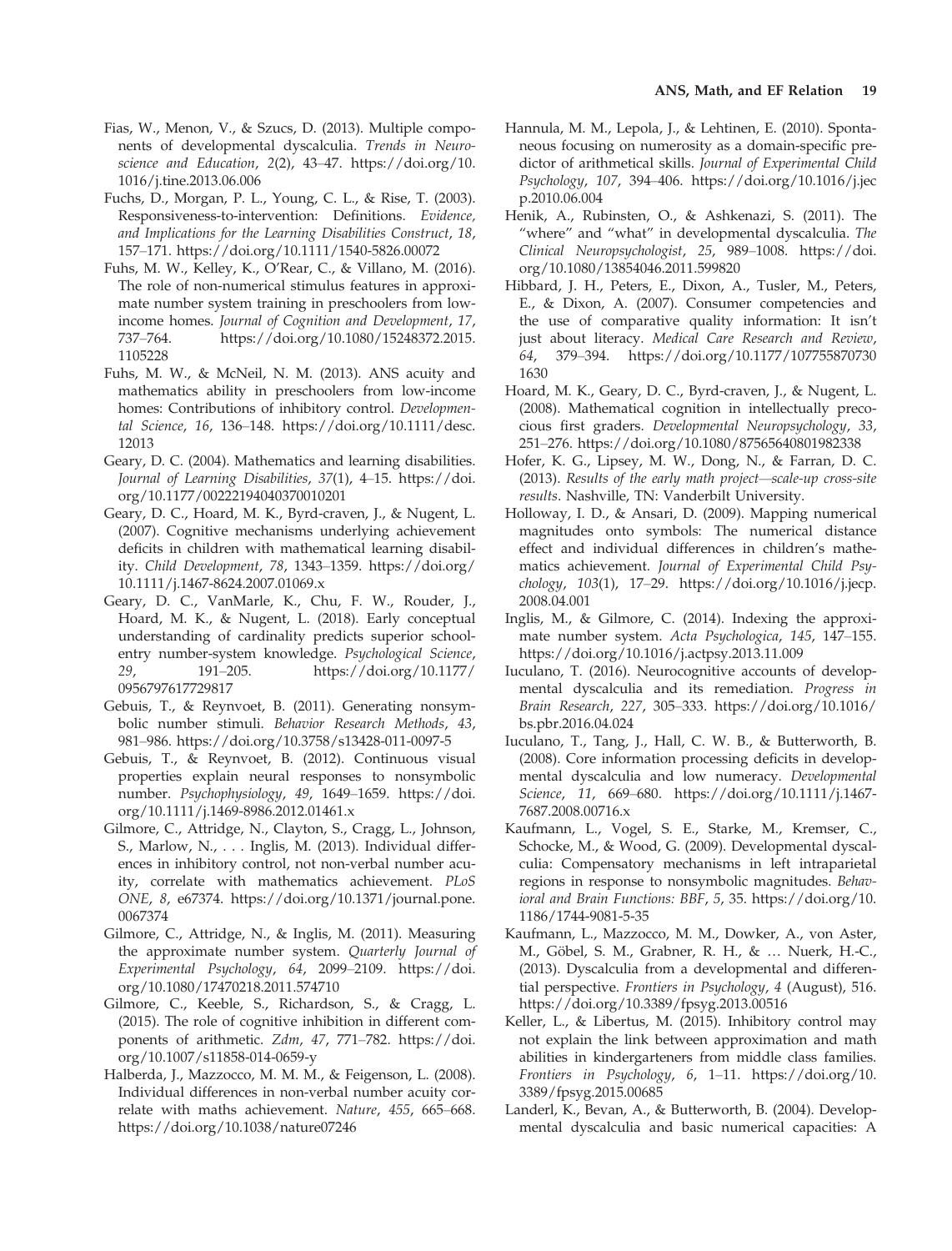- Fias, W., Menon, V., & Szucs, D. (2013). Multiple components of developmental dyscalculia. Trends in Neuroscience and Education, 2(2), 43–47. [https://doi.org/10.](https://doi.org/10.1016/j.tine.2013.06.006) [1016/j.tine.2013.06.006](https://doi.org/10.1016/j.tine.2013.06.006)
- Fuchs, D., Morgan, P. L., Young, C. L., & Rise, T. (2003). Responsiveness-to-intervention: Definitions. Evidence, and Implications for the Learning Disabilities Construct, 18, 157–171.<https://doi.org/10.1111/1540-5826.00072>
- Fuhs, M. W., Kelley, K., O'Rear, C., & Villano, M. (2016). The role of non-numerical stimulus features in approximate number system training in preschoolers from lowincome homes. Journal of Cognition and Development, 17, 737–764. [https://doi.org/10.1080/15248372.2015.](https://doi.org/10.1080/15248372.2015.1105228) [1105228](https://doi.org/10.1080/15248372.2015.1105228)
- Fuhs, M. W., & McNeil, N. M. (2013). ANS acuity and mathematics ability in preschoolers from low-income homes: Contributions of inhibitory control. Developmental Science, 16, 136–148. [https://doi.org/10.1111/desc.](https://doi.org/10.1111/desc.12013) [12013](https://doi.org/10.1111/desc.12013)
- Geary, D. C. (2004). Mathematics and learning disabilities. Journal of Learning Disabilities, 37(1), 4–15. [https://doi.](https://doi.org/10.1177/00222194040370010201) [org/10.1177/00222194040370010201](https://doi.org/10.1177/00222194040370010201)
- Geary, D. C., Hoard, M. K., Byrd-craven, J., & Nugent, L. (2007). Cognitive mechanisms underlying achievement deficits in children with mathematical learning disability. Child Development, 78, 1343–1359. [https://doi.org/](https://doi.org/10.1111/j.1467-8624.2007.01069.x) [10.1111/j.1467-8624.2007.01069.x](https://doi.org/10.1111/j.1467-8624.2007.01069.x)
- Geary, D. C., VanMarle, K., Chu, F. W., Rouder, J., Hoard, M. K., & Nugent, L. (2018). Early conceptual understanding of cardinality predicts superior schoolentry number-system knowledge. Psychological Science, 29, 191–205. [https://doi.org/10.1177/](https://doi.org/10.1177/0956797617729817) [0956797617729817](https://doi.org/10.1177/0956797617729817)
- Gebuis, T., & Reynvoet, B. (2011). Generating nonsymbolic number stimuli. Behavior Research Methods, 43, 981–986.<https://doi.org/10.3758/s13428-011-0097-5>
- Gebuis, T., & Reynvoet, B. (2012). Continuous visual properties explain neural responses to nonsymbolic number. Psychophysiology, 49, 1649–1659. [https://doi.](https://doi.org/10.1111/j.1469-8986.2012.01461.x) [org/10.1111/j.1469-8986.2012.01461.x](https://doi.org/10.1111/j.1469-8986.2012.01461.x)
- Gilmore, C., Attridge, N., Clayton, S., Cragg, L., Johnson, S., Marlow, N., . . . Inglis, M. (2013). Individual differences in inhibitory control, not non-verbal number acuity, correlate with mathematics achievement. PLoS ONE, 8, e67374. [https://doi.org/10.1371/journal.pone.](https://doi.org/10.1371/journal.pone.0067374) [0067374](https://doi.org/10.1371/journal.pone.0067374)
- Gilmore, C., Attridge, N., & Inglis, M. (2011). Measuring the approximate number system. Quarterly Journal of Experimental Psychology, 64, 2099–2109. [https://doi.](https://doi.org/10.1080/17470218.2011.574710) [org/10.1080/17470218.2011.574710](https://doi.org/10.1080/17470218.2011.574710)
- Gilmore, C., Keeble, S., Richardson, S., & Cragg, L. (2015). The role of cognitive inhibition in different components of arithmetic. Zdm, 47, 771–782. [https://doi.](https://doi.org/10.1007/s11858-014-0659-y) [org/10.1007/s11858-014-0659-y](https://doi.org/10.1007/s11858-014-0659-y)
- Halberda, J., Mazzocco, M. M. M., & Feigenson, L. (2008). Individual differences in non-verbal number acuity correlate with maths achievement. Nature, 455, 665–668. <https://doi.org/10.1038/nature07246>
- Hannula, M. M., Lepola, J., & Lehtinen, E. (2010). Spontaneous focusing on numerosity as a domain-specific predictor of arithmetical skills. Journal of Experimental Child Psychology, 107, 394–406. [https://doi.org/10.1016/j.jec](https://doi.org/10.1016/j.jecp.2010.06.004) [p.2010.06.004](https://doi.org/10.1016/j.jecp.2010.06.004)
- Henik, A., Rubinsten, O., & Ashkenazi, S. (2011). The "where" and "what" in developmental dyscalculia. The Clinical Neuropsychologist, 25, 989–1008. [https://doi.](https://doi.org/10.1080/13854046.2011.599820) [org/10.1080/13854046.2011.599820](https://doi.org/10.1080/13854046.2011.599820)
- Hibbard, J. H., Peters, E., Dixon, A., Tusler, M., Peters, E., & Dixon, A. (2007). Consumer competencies and the use of comparative quality information: It isn't just about literacy. Medical Care Research and Review. 64, 379–394. [https://doi.org/10.1177/107755870730](https://doi.org/10.1177/1077558707301630) [1630](https://doi.org/10.1177/1077558707301630)
- Hoard, M. K., Geary, D. C., Byrd-craven, J., & Nugent, L. (2008). Mathematical cognition in intellectually precocious first graders. Developmental Neuropsychology, 33, 251–276.<https://doi.org/10.1080/87565640801982338>
- Hofer, K. G., Lipsey, M. W., Dong, N., & Farran, D. C. (2013). Results of the early math project—scale-up cross-site results. Nashville, TN: Vanderbilt University.
- Holloway, I. D., & Ansari, D. (2009). Mapping numerical magnitudes onto symbols: The numerical distance effect and individual differences in children's mathematics achievement. Journal of Experimental Child Psychology, 103(1), 17–29. [https://doi.org/10.1016/j.jecp.](https://doi.org/10.1016/j.jecp.2008.04.001) [2008.04.001](https://doi.org/10.1016/j.jecp.2008.04.001)
- Inglis, M., & Gilmore, C. (2014). Indexing the approximate number system. Acta Psychologica, 145, 147–155. <https://doi.org/10.1016/j.actpsy.2013.11.009>
- Iuculano, T. (2016). Neurocognitive accounts of developmental dyscalculia and its remediation. Progress in Brain Research, 227, 305–333. [https://doi.org/10.1016/](https://doi.org/10.1016/bs.pbr.2016.04.024) [bs.pbr.2016.04.024](https://doi.org/10.1016/bs.pbr.2016.04.024)
- Iuculano, T., Tang, J., Hall, C. W. B., & Butterworth, B. (2008). Core information processing deficits in developmental dyscalculia and low numeracy. Developmental Science, 11, 669–680. [https://doi.org/10.1111/j.1467-](https://doi.org/10.1111/j.1467-7687.2008.00716.x) [7687.2008.00716.x](https://doi.org/10.1111/j.1467-7687.2008.00716.x)
- Kaufmann, L., Vogel, S. E., Starke, M., Kremser, C., Schocke, M., & Wood, G. (2009). Developmental dyscalculia: Compensatory mechanisms in left intraparietal regions in response to nonsymbolic magnitudes. Behavioral and Brain Functions: BBF, 5, 35. [https://doi.org/10.](https://doi.org/10.1186/1744-9081-5-35) [1186/1744-9081-5-35](https://doi.org/10.1186/1744-9081-5-35)
- Kaufmann, L., Mazzocco, M. M., Dowker, A., von Aster, M., Göbel, S. M., Grabner, R. H., & … Nuerk, H.-C., (2013). Dyscalculia from a developmental and differential perspective. Frontiers in Psychology, 4 (August), 516. <https://doi.org/10.3389/fpsyg.2013.00516>
- Keller, L., & Libertus, M. (2015). Inhibitory control may not explain the link between approximation and math abilities in kindergarteners from middle class families. Frontiers in Psychology, 6, 1–11. [https://doi.org/10.](https://doi.org/10.3389/fpsyg.2015.00685) [3389/fpsyg.2015.00685](https://doi.org/10.3389/fpsyg.2015.00685)
- Landerl, K., Bevan, A., & Butterworth, B. (2004). Developmental dyscalculia and basic numerical capacities: A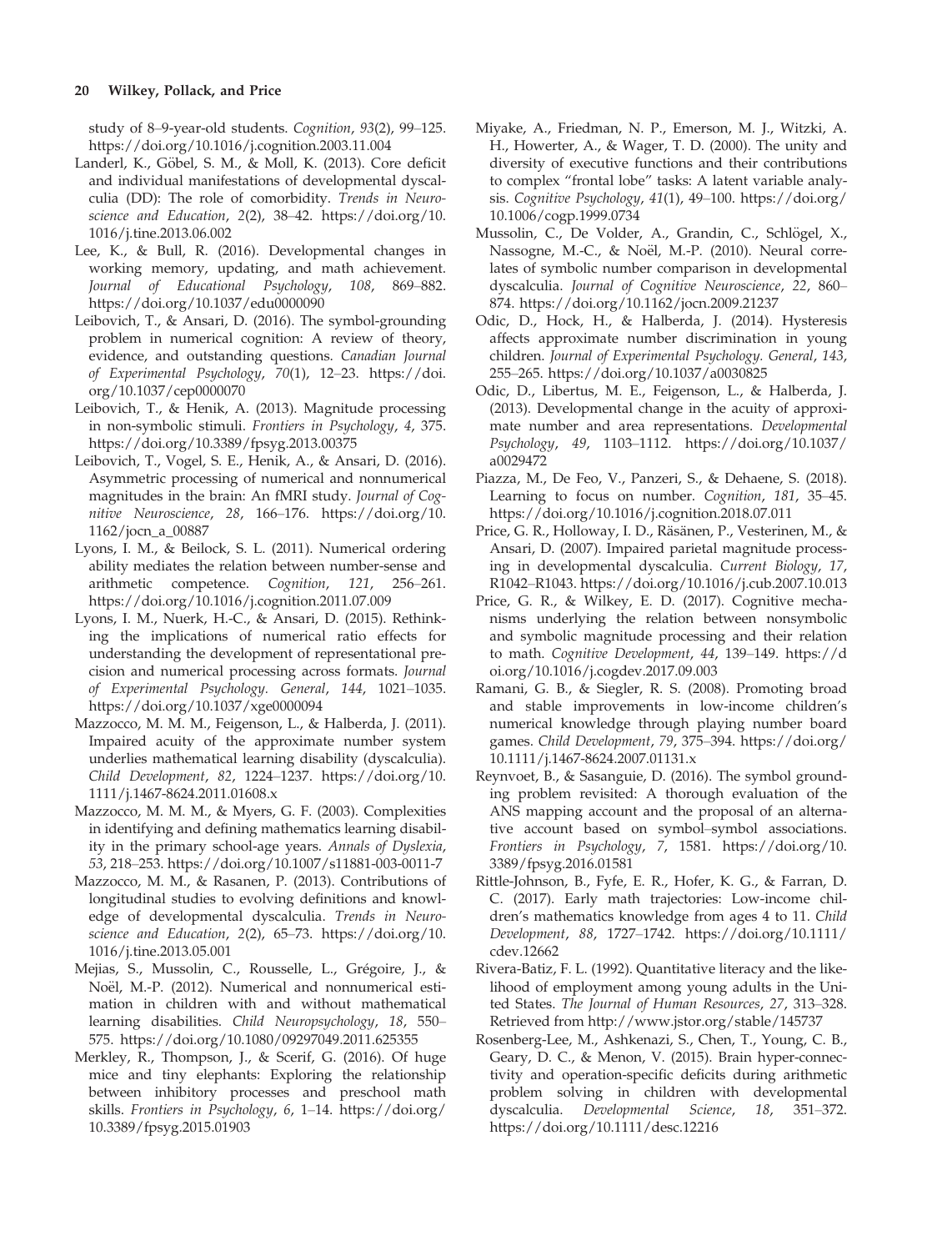study of 8–9-year-old students. Cognition, 93(2), 99–125. <https://doi.org/10.1016/j.cognition.2003.11.004>

- Landerl, K., Göbel, S. M., & Moll, K. (2013). Core deficit and individual manifestations of developmental dyscalculia (DD): The role of comorbidity. Trends in Neuroscience and Education, 2(2), 38-42. [https://doi.org/10.](https://doi.org/10.1016/j.tine.2013.06.002) [1016/j.tine.2013.06.002](https://doi.org/10.1016/j.tine.2013.06.002)
- Lee, K., & Bull, R. (2016). Developmental changes in working memory, updating, and math achievement. Journal of Educational Psychology, 108, 869–882. <https://doi.org/10.1037/edu0000090>
- Leibovich, T., & Ansari, D. (2016). The symbol-grounding problem in numerical cognition: A review of theory, evidence, and outstanding questions. Canadian Journal of Experimental Psychology, 70(1), 12–23. [https://doi.](https://doi.org/10.1037/cep0000070) [org/10.1037/cep0000070](https://doi.org/10.1037/cep0000070)
- Leibovich, T., & Henik, A. (2013). Magnitude processing in non-symbolic stimuli. Frontiers in Psychology, 4, 375. <https://doi.org/10.3389/fpsyg.2013.00375>
- Leibovich, T., Vogel, S. E., Henik, A., & Ansari, D. (2016). Asymmetric processing of numerical and nonnumerical magnitudes in the brain: An fMRI study. Journal of Cognitive Neuroscience, 28, 166–176. [https://doi.org/10.](https://doi.org/10.1162/jocn_a_00887) [1162/jocn\\_a\\_00887](https://doi.org/10.1162/jocn_a_00887)
- Lyons, I. M., & Beilock, S. L. (2011). Numerical ordering ability mediates the relation between number-sense and arithmetic competence. Cognition, 121, 256–261. <https://doi.org/10.1016/j.cognition.2011.07.009>
- Lyons, I. M., Nuerk, H.-C., & Ansari, D. (2015). Rethinking the implications of numerical ratio effects for understanding the development of representational precision and numerical processing across formats. Journal of Experimental Psychology. General, 144, 1021–1035. <https://doi.org/10.1037/xge0000094>
- Mazzocco, M. M. M., Feigenson, L., & Halberda, J. (2011). Impaired acuity of the approximate number system underlies mathematical learning disability (dyscalculia). Child Development, 82, 1224–1237. [https://doi.org/10.](https://doi.org/10.1111/j.1467-8624.2011.01608.x) [1111/j.1467-8624.2011.01608.x](https://doi.org/10.1111/j.1467-8624.2011.01608.x)
- Mazzocco, M. M. M., & Myers, G. F. (2003). Complexities in identifying and defining mathematics learning disability in the primary school-age years. Annals of Dyslexia, 53, 218–253.<https://doi.org/10.1007/s11881-003-0011-7>
- Mazzocco, M. M., & Rasanen, P. (2013). Contributions of longitudinal studies to evolving definitions and knowledge of developmental dyscalculia. Trends in Neuroscience and Education, 2(2), 65-73. [https://doi.org/10.](https://doi.org/10.1016/j.tine.2013.05.001) [1016/j.tine.2013.05.001](https://doi.org/10.1016/j.tine.2013.05.001)
- Mejias, S., Mussolin, C., Rousselle, L., Grégoire, J., & Noël, M.-P. (2012). Numerical and nonnumerical estimation in children with and without mathematical learning disabilities. Child Neuropsychology, 18, 550– 575.<https://doi.org/10.1080/09297049.2011.625355>
- Merkley, R., Thompson, J., & Scerif, G. (2016). Of huge mice and tiny elephants: Exploring the relationship between inhibitory processes and preschool math skills. Frontiers in Psychology, 6, 1–14. [https://doi.org/](https://doi.org/10.3389/fpsyg.2015.01903) [10.3389/fpsyg.2015.01903](https://doi.org/10.3389/fpsyg.2015.01903)
- Miyake, A., Friedman, N. P., Emerson, M. J., Witzki, A. H., Howerter, A., & Wager, T. D. (2000). The unity and diversity of executive functions and their contributions to complex "frontal lobe" tasks: A latent variable analysis. Cognitive Psychology, 41(1), 49–100. [https://doi.org/](https://doi.org/10.1006/cogp.1999.0734) [10.1006/cogp.1999.0734](https://doi.org/10.1006/cogp.1999.0734)
- Mussolin, C., De Volder, A., Grandin, C., Schlögel, X., Nassogne, M.-C., & Noël, M.-P. (2010). Neural correlates of symbolic number comparison in developmental dyscalculia. Journal of Cognitive Neuroscience, 22, 860– 874.<https://doi.org/10.1162/jocn.2009.21237>
- Odic, D., Hock, H., & Halberda, J. (2014). Hysteresis affects approximate number discrimination in young children. Journal of Experimental Psychology. General, 143, 255–265.<https://doi.org/10.1037/a0030825>
- Odic, D., Libertus, M. E., Feigenson, L., & Halberda, J. (2013). Developmental change in the acuity of approximate number and area representations. Developmental Psychology, 49, 1103–1112. [https://doi.org/10.1037/](https://doi.org/10.1037/a0029472) [a0029472](https://doi.org/10.1037/a0029472)
- Piazza, M., De Feo, V., Panzeri, S., & Dehaene, S. (2018). Learning to focus on number. Cognition, 181, 35–45. <https://doi.org/10.1016/j.cognition.2018.07.011>
- Price, G. R., Holloway, I. D., Räsänen, P., Vesterinen, M., & Ansari, D. (2007). Impaired parietal magnitude processing in developmental dyscalculia. Current Biology, 17, R1042–R1043.<https://doi.org/10.1016/j.cub.2007.10.013>
- Price, G. R., & Wilkey, E. D. (2017). Cognitive mechanisms underlying the relation between nonsymbolic and symbolic magnitude processing and their relation to math. Cognitive Development, 44, 139–149. [https://d](https://doi.org/10.1016/j.cogdev.2017.09.003) [oi.org/10.1016/j.cogdev.2017.09.003](https://doi.org/10.1016/j.cogdev.2017.09.003)
- Ramani, G. B., & Siegler, R. S. (2008). Promoting broad and stable improvements in low-income children's numerical knowledge through playing number board games. Child Development, 79, 375–394. [https://doi.org/](https://doi.org/10.1111/j.1467-8624.2007.01131.x) [10.1111/j.1467-8624.2007.01131.x](https://doi.org/10.1111/j.1467-8624.2007.01131.x)
- Reynvoet, B., & Sasanguie, D. (2016). The symbol grounding problem revisited: A thorough evaluation of the ANS mapping account and the proposal of an alternative account based on symbol–symbol associations. Frontiers in Psychology, 7, 1581. [https://doi.org/10.](https://doi.org/10.3389/fpsyg.2016.01581) [3389/fpsyg.2016.01581](https://doi.org/10.3389/fpsyg.2016.01581)
- Rittle-Johnson, B., Fyfe, E. R., Hofer, K. G., & Farran, D. C. (2017). Early math trajectories: Low-income children's mathematics knowledge from ages 4 to 11. Child Development, 88, 1727–1742. [https://doi.org/10.1111/](https://doi.org/10.1111/cdev.12662) [cdev.12662](https://doi.org/10.1111/cdev.12662)
- Rivera-Batiz, F. L. (1992). Quantitative literacy and the likelihood of employment among young adults in the United States. The Journal of Human Resources, 27, 313–328. Retrieved from<http://www.jstor.org/stable/145737>
- Rosenberg-Lee, M., Ashkenazi, S., Chen, T., Young, C. B., Geary, D. C., & Menon, V. (2015). Brain hyper-connectivity and operation-specific deficits during arithmetic problem solving in children with developmental dyscalculia. Developmental Science, 18, 351–372. <https://doi.org/10.1111/desc.12216>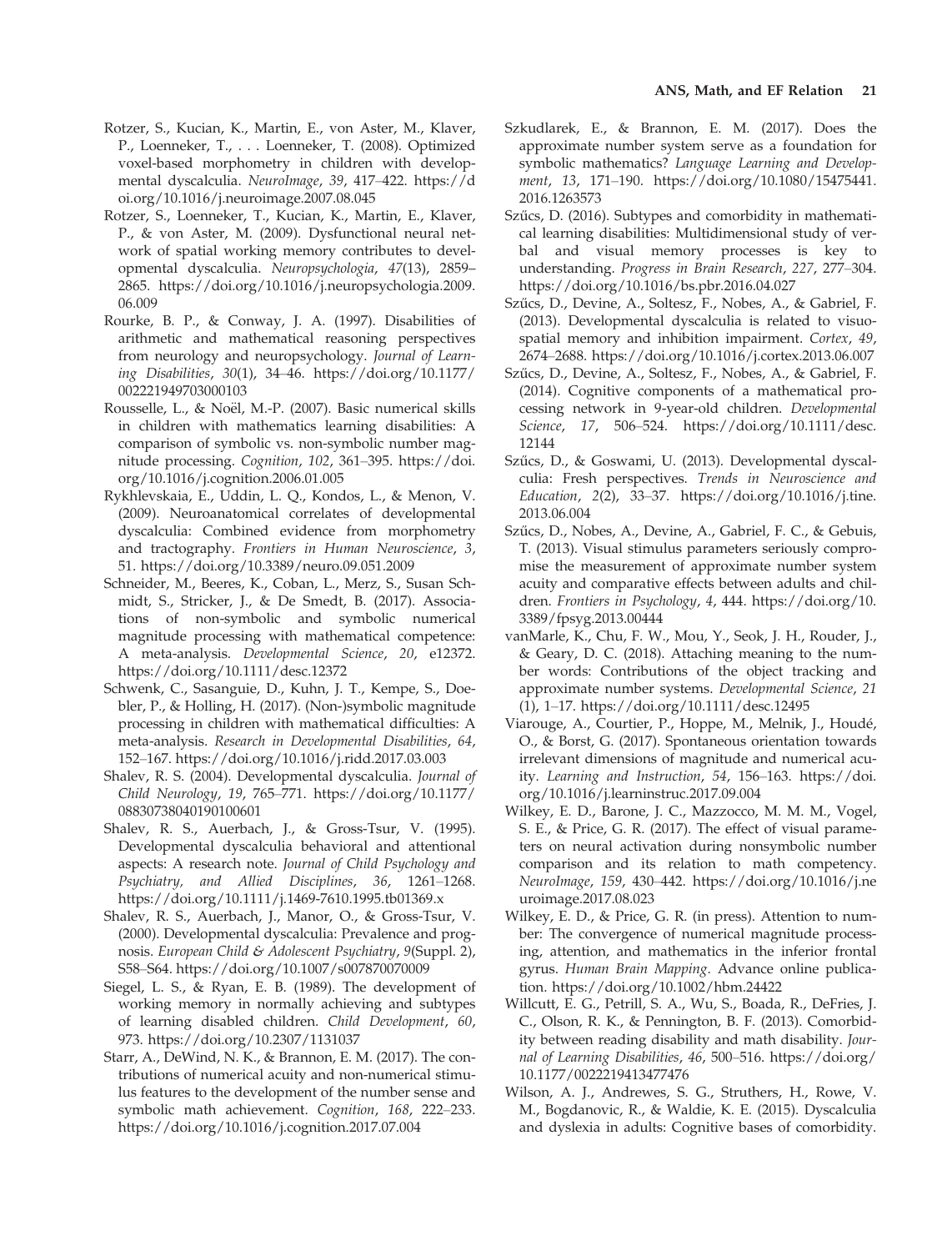- Rotzer, S., Kucian, K., Martin, E., von Aster, M., Klaver, P., Loenneker, T., . . . Loenneker, T. (2008). Optimized voxel-based morphometry in children with developmental dyscalculia. NeuroImage, 39, 417–422. [https://d](https://doi.org/10.1016/j.neuroimage.2007.08.045) [oi.org/10.1016/j.neuroimage.2007.08.045](https://doi.org/10.1016/j.neuroimage.2007.08.045)
- Rotzer, S., Loenneker, T., Kucian, K., Martin, E., Klaver, P., & von Aster, M. (2009). Dysfunctional neural network of spatial working memory contributes to developmental dyscalculia. Neuropsychologia, 47(13), 2859– 2865. [https://doi.org/10.1016/j.neuropsychologia.2009.](https://doi.org/10.1016/j.neuropsychologia.2009.06.009) [06.009](https://doi.org/10.1016/j.neuropsychologia.2009.06.009)
- Rourke, B. P., & Conway, J. A. (1997). Disabilities of arithmetic and mathematical reasoning perspectives from neurology and neuropsychology. Journal of Learning Disabilities, 30(1), 34–46. [https://doi.org/10.1177/](https://doi.org/10.1177/002221949703000103) [002221949703000103](https://doi.org/10.1177/002221949703000103)
- Rousselle, L., & Noël, M.-P. (2007). Basic numerical skills in children with mathematics learning disabilities: A comparison of symbolic vs. non-symbolic number magnitude processing. Cognition, 102, 361–395. [https://doi.](https://doi.org/10.1016/j.cognition.2006.01.005) [org/10.1016/j.cognition.2006.01.005](https://doi.org/10.1016/j.cognition.2006.01.005)
- Rykhlevskaia, E., Uddin, L. Q., Kondos, L., & Menon, V. (2009). Neuroanatomical correlates of developmental dyscalculia: Combined evidence from morphometry and tractography. Frontiers in Human Neuroscience, 3, 51.<https://doi.org/10.3389/neuro.09.051.2009>
- Schneider, M., Beeres, K., Coban, L., Merz, S., Susan Schmidt, S., Stricker, J., & De Smedt, B. (2017). Associations of non-symbolic and symbolic numerical magnitude processing with mathematical competence: A meta-analysis. Developmental Science, 20, e12372. <https://doi.org/10.1111/desc.12372>
- Schwenk, C., Sasanguie, D., Kuhn, J. T., Kempe, S., Doebler, P., & Holling, H. (2017). (Non-)symbolic magnitude processing in children with mathematical difficulties: A meta-analysis. Research in Developmental Disabilities, 64, 152–167.<https://doi.org/10.1016/j.ridd.2017.03.003>
- Shalev, R. S. (2004). Developmental dyscalculia. Journal of Child Neurology, 19, 765–771. [https://doi.org/10.1177/](https://doi.org/10.1177/08830738040190100601) [08830738040190100601](https://doi.org/10.1177/08830738040190100601)
- Shalev, R. S., Auerbach, J., & Gross-Tsur, V. (1995). Developmental dyscalculia behavioral and attentional aspects: A research note. Journal of Child Psychology and Psychiatry, and Allied Disciplines, 36, 1261–1268. <https://doi.org/10.1111/j.1469-7610.1995.tb01369.x>
- Shalev, R. S., Auerbach, J., Manor, O., & Gross-Tsur, V. (2000). Developmental dyscalculia: Prevalence and prognosis. European Child & Adolescent Psychiatry, 9(Suppl. 2), S58–S64.<https://doi.org/10.1007/s007870070009>
- Siegel, L. S., & Ryan, E. B. (1989). The development of working memory in normally achieving and subtypes of learning disabled children. Child Development, 60, 973.<https://doi.org/10.2307/1131037>
- Starr, A., DeWind, N. K., & Brannon, E. M. (2017). The contributions of numerical acuity and non-numerical stimulus features to the development of the number sense and symbolic math achievement. Cognition, 168, 222–233. <https://doi.org/10.1016/j.cognition.2017.07.004>
- Szkudlarek, E., & Brannon, E. M. (2017). Does the approximate number system serve as a foundation for symbolic mathematics? Language Learning and Development, 13, 171–190. [https://doi.org/10.1080/15475441.](https://doi.org/10.1080/15475441.2016.1263573) [2016.1263573](https://doi.org/10.1080/15475441.2016.1263573)
- Szűcs, D. (2016). Subtypes and comorbidity in mathematical learning disabilities: Multidimensional study of verbal and visual memory processes is key to understanding. Progress in Brain Research, 227, 277–304. <https://doi.org/10.1016/bs.pbr.2016.04.027>
- Szűcs, D., Devine, A., Soltesz, F., Nobes, A., & Gabriel, F. (2013). Developmental dyscalculia is related to visuospatial memory and inhibition impairment. Cortex, 49, 2674–2688.<https://doi.org/10.1016/j.cortex.2013.06.007>
- Szűcs, D., Devine, A., Soltesz, F., Nobes, A., & Gabriel, F. (2014). Cognitive components of a mathematical processing network in 9-year-old children. Developmental Science, 17, 506–524. [https://doi.org/10.1111/desc.](https://doi.org/10.1111/desc.12144) [12144](https://doi.org/10.1111/desc.12144)
- Szűcs, D., & Goswami, U. (2013). Developmental dyscalculia: Fresh perspectives. Trends in Neuroscience and Education, 2(2), 33–37. [https://doi.org/10.1016/j.tine.](https://doi.org/10.1016/j.tine.2013.06.004) [2013.06.004](https://doi.org/10.1016/j.tine.2013.06.004)
- Szűcs, D., Nobes, A., Devine, A., Gabriel, F. C., & Gebuis, T. (2013). Visual stimulus parameters seriously compromise the measurement of approximate number system acuity and comparative effects between adults and children. Frontiers in Psychology, 4, 444. [https://doi.org/10.](https://doi.org/10.3389/fpsyg.2013.00444) [3389/fpsyg.2013.00444](https://doi.org/10.3389/fpsyg.2013.00444)
- vanMarle, K., Chu, F. W., Mou, Y., Seok, J. H., Rouder, J., & Geary, D. C. (2018). Attaching meaning to the number words: Contributions of the object tracking and approximate number systems. Developmental Science, 21 (1), 1–17.<https://doi.org/10.1111/desc.12495>
- Viarouge, A., Courtier, P., Hoppe, M., Melnik, J., Houdé, O., & Borst, G. (2017). Spontaneous orientation towards irrelevant dimensions of magnitude and numerical acuity. Learning and Instruction, 54, 156–163. [https://doi.](https://doi.org/10.1016/j.learninstruc.2017.09.004) [org/10.1016/j.learninstruc.2017.09.004](https://doi.org/10.1016/j.learninstruc.2017.09.004)
- Wilkey, E. D., Barone, J. C., Mazzocco, M. M. M., Vogel, S. E., & Price, G. R. (2017). The effect of visual parameters on neural activation during nonsymbolic number comparison and its relation to math competency. NeuroImage, 159, 430–442. [https://doi.org/10.1016/j.ne](https://doi.org/10.1016/j.neuroimage.2017.08.023) [uroimage.2017.08.023](https://doi.org/10.1016/j.neuroimage.2017.08.023)
- Wilkey, E. D., & Price, G. R. (in press). Attention to number: The convergence of numerical magnitude processing, attention, and mathematics in the inferior frontal gyrus. Human Brain Mapping. Advance online publication.<https://doi.org/10.1002/hbm.24422>
- Willcutt, E. G., Petrill, S. A., Wu, S., Boada, R., DeFries, J. C., Olson, R. K., & Pennington, B. F. (2013). Comorbidity between reading disability and math disability. Journal of Learning Disabilities, 46, 500–516. [https://doi.org/](https://doi.org/10.1177/0022219413477476) [10.1177/0022219413477476](https://doi.org/10.1177/0022219413477476)
- Wilson, A. J., Andrewes, S. G., Struthers, H., Rowe, V. M., Bogdanovic, R., & Waldie, K. E. (2015). Dyscalculia and dyslexia in adults: Cognitive bases of comorbidity.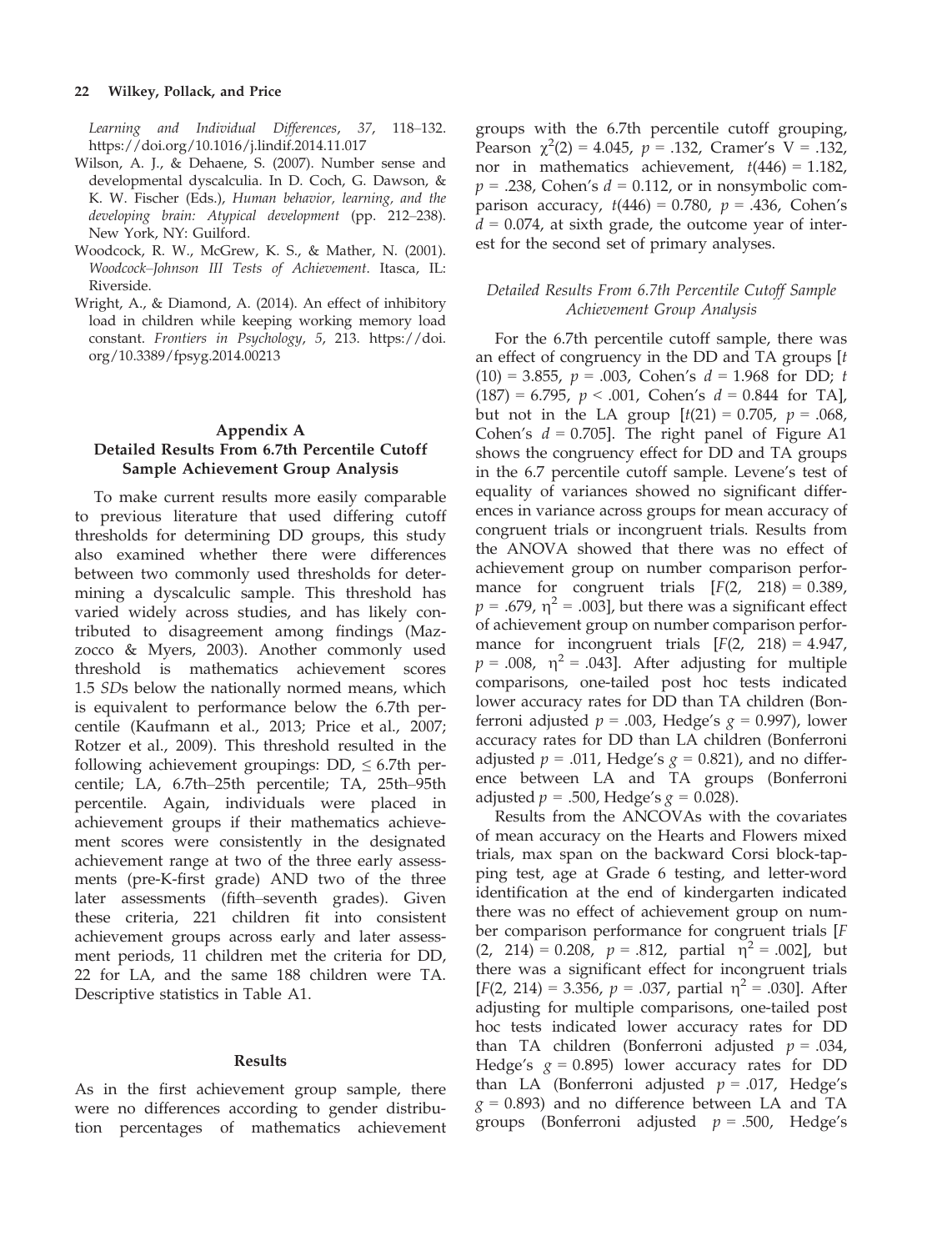#### 22 Wilkey, Pollack, and Price

Learning and Individual Differences, 37, 118–132. <https://doi.org/10.1016/j.lindif.2014.11.017>

- Wilson, A. J., & Dehaene, S. (2007). Number sense and developmental dyscalculia. In D. Coch, G. Dawson, & K. W. Fischer (Eds.), Human behavior, learning, and the developing brain: Atypical development (pp. 212–238). New York, NY: Guilford.
- Woodcock, R. W., McGrew, K. S., & Mather, N. (2001). Woodcock–Johnson III Tests of Achievement. Itasca, IL: Riverside.
- Wright, A., & Diamond, A. (2014). An effect of inhibitory load in children while keeping working memory load constant. Frontiers in Psychology, 5, 213. [https://doi.](https://doi.org/10.3389/fpsyg.2014.00213) [org/10.3389/fpsyg.2014.00213](https://doi.org/10.3389/fpsyg.2014.00213)

# Appendix A Detailed Results From 6.7th Percentile Cutoff Sample Achievement Group Analysis

To make current results more easily comparable to previous literature that used differing cutoff thresholds for determining DD groups, this study also examined whether there were differences between two commonly used thresholds for determining a dyscalculic sample. This threshold has varied widely across studies, and has likely contributed to disagreement among findings (Mazzocco & Myers, 2003). Another commonly used threshold is mathematics achievement scores 1.5 SDs below the nationally normed means, which is equivalent to performance below the 6.7th percentile (Kaufmann et al., 2013; Price et al., 2007; Rotzer et al., 2009). This threshold resulted in the following achievement groupings:  $DD \leq 6.7$ th percentile; LA, 6.7th–25th percentile; TA, 25th–95th percentile. Again, individuals were placed in achievement groups if their mathematics achievement scores were consistently in the designated achievement range at two of the three early assessments (pre-K-first grade) AND two of the three later assessments (fifth–seventh grades). Given these criteria, 221 children fit into consistent achievement groups across early and later assessment periods, 11 children met the criteria for DD, 22 for LA, and the same 188 children were TA. Descriptive statistics in Table A1.

#### Results

As in the first achievement group sample, there were no differences according to gender distribution percentages of mathematics achievement groups with the 6.7th percentile cutoff grouping, Pearson  $\chi^2(2) = 4.045$ ,  $p = .132$ , Cramer's V = .132, nor in mathematics achievement  $f(446) = 1.182$ nor in mathematics achievement,  $t(446) = 1.182$ ,  $p = .238$ , Cohen's  $d = 0.112$ , or in nonsymbolic comparison accuracy,  $t(446) = 0.780$ ,  $p = .436$ , Cohen's  $d = 0.074$ , at sixth grade, the outcome year of interest for the second set of primary analyses.

# Detailed Results From 6.7th Percentile Cutoff Sample Achievement Group Analysis

For the 6.7th percentile cutoff sample, there was an effect of congruency in the DD and TA groups [t  $(10) = 3.855$ ,  $p = .003$ , Cohen's  $d = 1.968$  for DD; t  $(187) = 6.795$ ,  $p < .001$ , Cohen's  $d = 0.844$  for TA], but not in the LA group  $[t(21) = 0.705, p = .068,$ Cohen's  $d = 0.705$ ]. The right panel of Figure A1 shows the congruency effect for DD and TA groups in the 6.7 percentile cutoff sample. Levene's test of equality of variances showed no significant differences in variance across groups for mean accuracy of congruent trials or incongruent trials. Results from the ANOVA showed that there was no effect of achievement group on number comparison performance for congruent trials  $[F(2, 218) = 0.389]$ ,  $p = .679$ ,  $\eta^2 = .003$ , but there was a significant effect of achievement group on number comparison performance for incongruent trials  $[F(2, 218) = 4.947]$ ,  $p = .008$ ,  $\eta^2 = .043$ . After adjusting for multiple comparisons, one-tailed post hoc tests indicated lower accuracy rates for DD than TA children (Bonferroni adjusted  $p = .003$ , Hedge's  $g = 0.997$ ), lower accuracy rates for DD than LA children (Bonferroni adjusted  $p = .011$ , Hedge's  $g = 0.821$ ), and no difference between LA and TA groups (Bonferroni adjusted  $p = .500$ , Hedge's  $g = 0.028$ ).

Results from the ANCOVAs with the covariates of mean accuracy on the Hearts and Flowers mixed trials, max span on the backward Corsi block-tapping test, age at Grade 6 testing, and letter-word identification at the end of kindergarten indicated there was no effect of achievement group on number comparison performance for congruent trials [F  $(2, 214) = 0.208$ ,  $p = .812$ , partial  $\eta^2 = .002$ , but there was a significant effect for incongruent trials [F(2, 214) = 3.356,  $p = .037$ , partial  $\eta^2 = .030$ ]. After adjusting for multiple comparisons, one-tailed post hoc tests indicated lower accuracy rates for DD than TA children (Bonferroni adjusted  $p = .034$ , Hedge's  $g = 0.895$ ) lower accuracy rates for DD than LA (Bonferroni adjusted  $p = .017$ , Hedge's  $g = 0.893$ ) and no difference between LA and TA groups (Bonferroni adjusted  $p = .500$ , Hedge's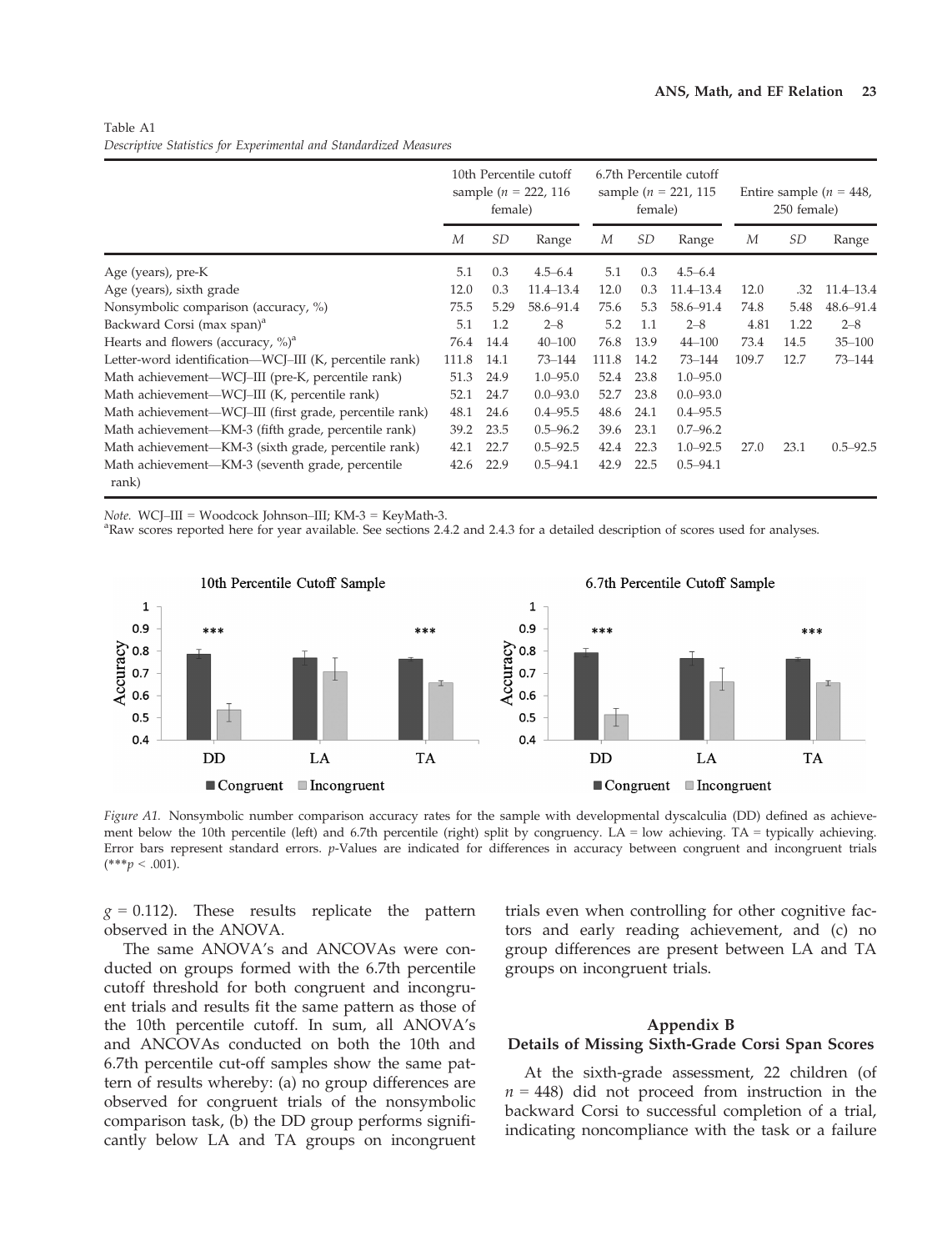| Table A1                                                          |  |  |
|-------------------------------------------------------------------|--|--|
| Descriptive Statistics for Experimental and Standardized Measures |  |  |

|                                                           |       | female) | 10th Percentile cutoff<br>sample ( $n = 222, 116$ ) | 6.7th Percentile cutoff<br>sample ( $n = 221, 115$ )<br>female) |      |               | Entire sample ( $n = 448$ ,<br>250 female) |      |               |
|-----------------------------------------------------------|-------|---------|-----------------------------------------------------|-----------------------------------------------------------------|------|---------------|--------------------------------------------|------|---------------|
|                                                           | M     | SD      | Range                                               | $\boldsymbol{M}$                                                | SD   | Range         | $\boldsymbol{M}$                           | SD   | Range         |
| Age (years), pre-K                                        | 5.1   | 0.3     | $4.5 - 6.4$                                         | 5.1                                                             | 0.3  | $4.5 - 6.4$   |                                            |      |               |
| Age (years), sixth grade                                  | 12.0  | 0.3     | $11.4 - 13.4$                                       | 12.0                                                            | 0.3  | $11.4 - 13.4$ | 12.0                                       | .32  | $11.4 - 13.4$ |
| Nonsymbolic comparison (accuracy, %)                      | 75.5  | 5.29    | 58.6-91.4                                           | 75.6                                                            | 5.3  | 58.6–91.4     | 74.8                                       | 5.48 | 48.6-91.4     |
| Backward Corsi (max span) <sup>a</sup>                    | 5.1   | 1.2     | $2 - 8$                                             | 5.2                                                             | 1.1  | $2 - 8$       | 4.81                                       | 1.22 | $2 - 8$       |
| Hearts and flowers (accuracy, $\%$ ) <sup>a</sup>         | 76.4  | 14.4    | $40 - 100$                                          | 76.8                                                            | 13.9 | $44 - 100$    | 73.4                                       | 14.5 | $35 - 100$    |
| Letter-word identification—WCJ-III (K, percentile rank)   | 111.8 | 14.1    | $73 - 144$                                          | 111.8                                                           | 14.2 | 73-144        | 109.7                                      | 12.7 | $73 - 144$    |
| Math achievement—WCJ-III (pre-K, percentile rank)         | 51.3  | 24.9    | $1.0 - 95.0$                                        | 52.4                                                            | 23.8 | $1.0 - 95.0$  |                                            |      |               |
| Math achievement-WCJ-III (K, percentile rank)             | 52.1  | 24.7    | $0.0 - 93.0$                                        | 52.7                                                            | 23.8 | $0.0 - 93.0$  |                                            |      |               |
| Math achievement—WCJ-III (first grade, percentile rank)   | 48.1  | 24.6    | $0.4 - 95.5$                                        | 48.6                                                            | 24.1 | $0.4 - 95.5$  |                                            |      |               |
| Math achievement—KM-3 (fifth grade, percentile rank)      | 39.2  | 23.5    | $0.5 - 96.2$                                        | 39.6                                                            | 23.1 | $0.7 - 96.2$  |                                            |      |               |
| Math achievement—KM-3 (sixth grade, percentile rank)      | 42.1  | 22.7    | $0.5 - 92.5$                                        | 42.4                                                            | 22.3 | $1.0 - 92.5$  | 27.0                                       | 23.1 | $0.5 - 92.5$  |
| Math achievement-KM-3 (seventh grade, percentile<br>rank) | 42.6  | 22.9    | $0.5 - 94.1$                                        | 42.9                                                            | 22.5 | $0.5 - 94.1$  |                                            |      |               |

Note. WCJ-III = Woodcock Johnson-III; KM-3 = KeyMath-3.

<sup>a</sup>Raw scores reported here for year available. See sections 2.4.2 and 2.4.3 for a detailed description of scores used for analyses.





 $g = 0.112$ ). These results replicate the pattern observed in the ANOVA.

The same ANOVA's and ANCOVAs were conducted on groups formed with the 6.7th percentile cutoff threshold for both congruent and incongruent trials and results fit the same pattern as those of the 10th percentile cutoff. In sum, all ANOVA's and ANCOVAs conducted on both the 10th and 6.7th percentile cut-off samples show the same pattern of results whereby: (a) no group differences are observed for congruent trials of the nonsymbolic comparison task, (b) the DD group performs significantly below LA and TA groups on incongruent trials even when controlling for other cognitive factors and early reading achievement, and (c) no group differences are present between LA and TA groups on incongruent trials.

# Appendix B Details of Missing Sixth-Grade Corsi Span Scores

At the sixth-grade assessment, 22 children (of  $n = 448$ ) did not proceed from instruction in the backward Corsi to successful completion of a trial, indicating noncompliance with the task or a failure